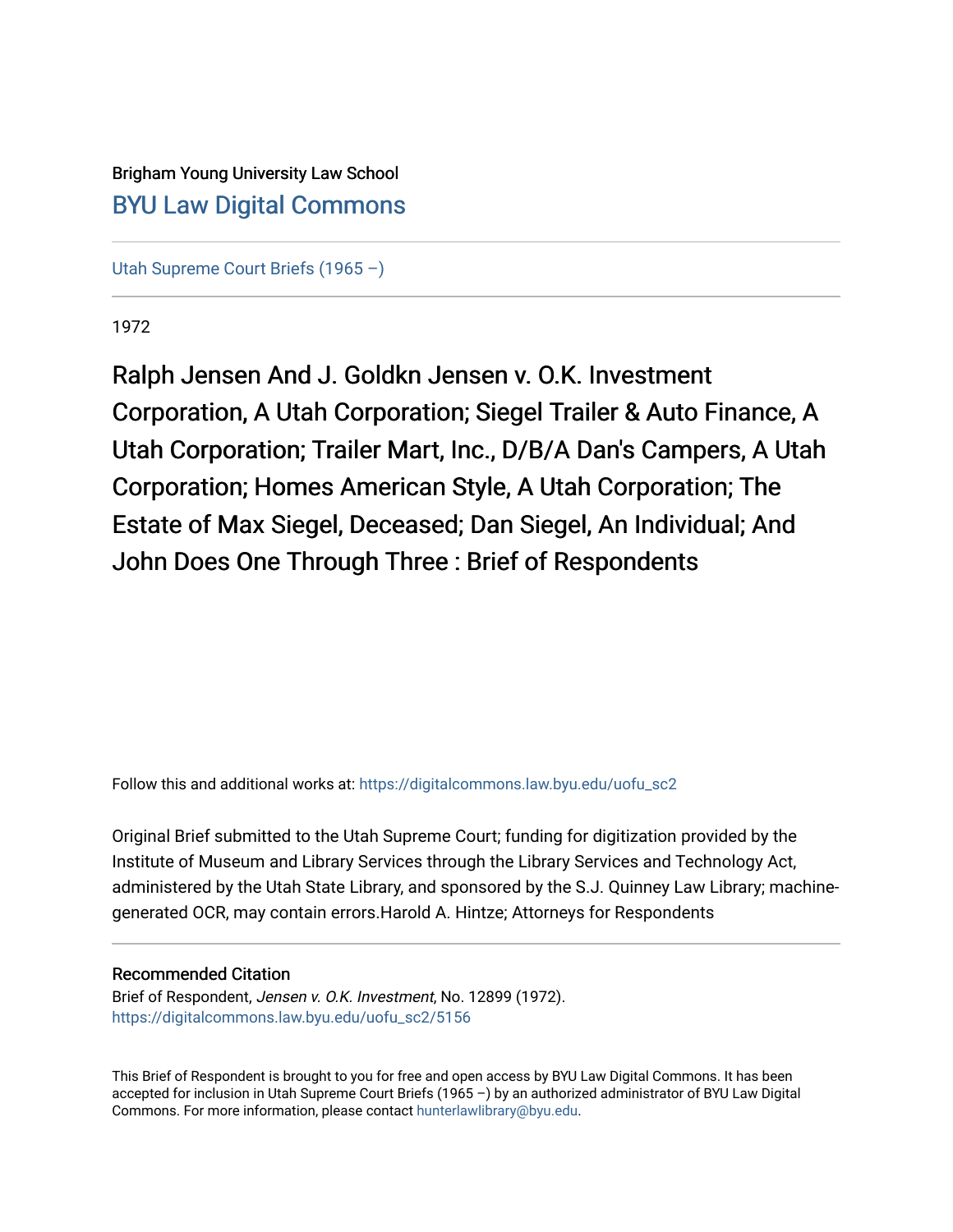## Brigham Young University Law School [BYU Law Digital Commons](https://digitalcommons.law.byu.edu/)

[Utah Supreme Court Briefs \(1965 –\)](https://digitalcommons.law.byu.edu/uofu_sc2)

1972

Ralph Jensen And J. Goldkn Jensen v. O.K. Investment Corporation, A Utah Corporation; Siegel Trailer & Auto Finance, A Utah Corporation; Trailer Mart, Inc., D/B/A Dan's Campers, A Utah Corporation; Homes American Style, A Utah Corporation; The Estate of Max Siegel, Deceased; Dan Siegel, An Individual; And John Does One Through Three : Brief of Respondents

Follow this and additional works at: [https://digitalcommons.law.byu.edu/uofu\\_sc2](https://digitalcommons.law.byu.edu/uofu_sc2?utm_source=digitalcommons.law.byu.edu%2Fuofu_sc2%2F5156&utm_medium=PDF&utm_campaign=PDFCoverPages)

Original Brief submitted to the Utah Supreme Court; funding for digitization provided by the Institute of Museum and Library Services through the Library Services and Technology Act, administered by the Utah State Library, and sponsored by the S.J. Quinney Law Library; machinegenerated OCR, may contain errors.Harold A. Hintze; Attorneys for Respondents

#### Recommended Citation

Brief of Respondent, Jensen v. O.K. Investment, No. 12899 (1972). [https://digitalcommons.law.byu.edu/uofu\\_sc2/5156](https://digitalcommons.law.byu.edu/uofu_sc2/5156?utm_source=digitalcommons.law.byu.edu%2Fuofu_sc2%2F5156&utm_medium=PDF&utm_campaign=PDFCoverPages) 

This Brief of Respondent is brought to you for free and open access by BYU Law Digital Commons. It has been accepted for inclusion in Utah Supreme Court Briefs (1965 –) by an authorized administrator of BYU Law Digital Commons. For more information, please contact [hunterlawlibrary@byu.edu](mailto:hunterlawlibrary@byu.edu).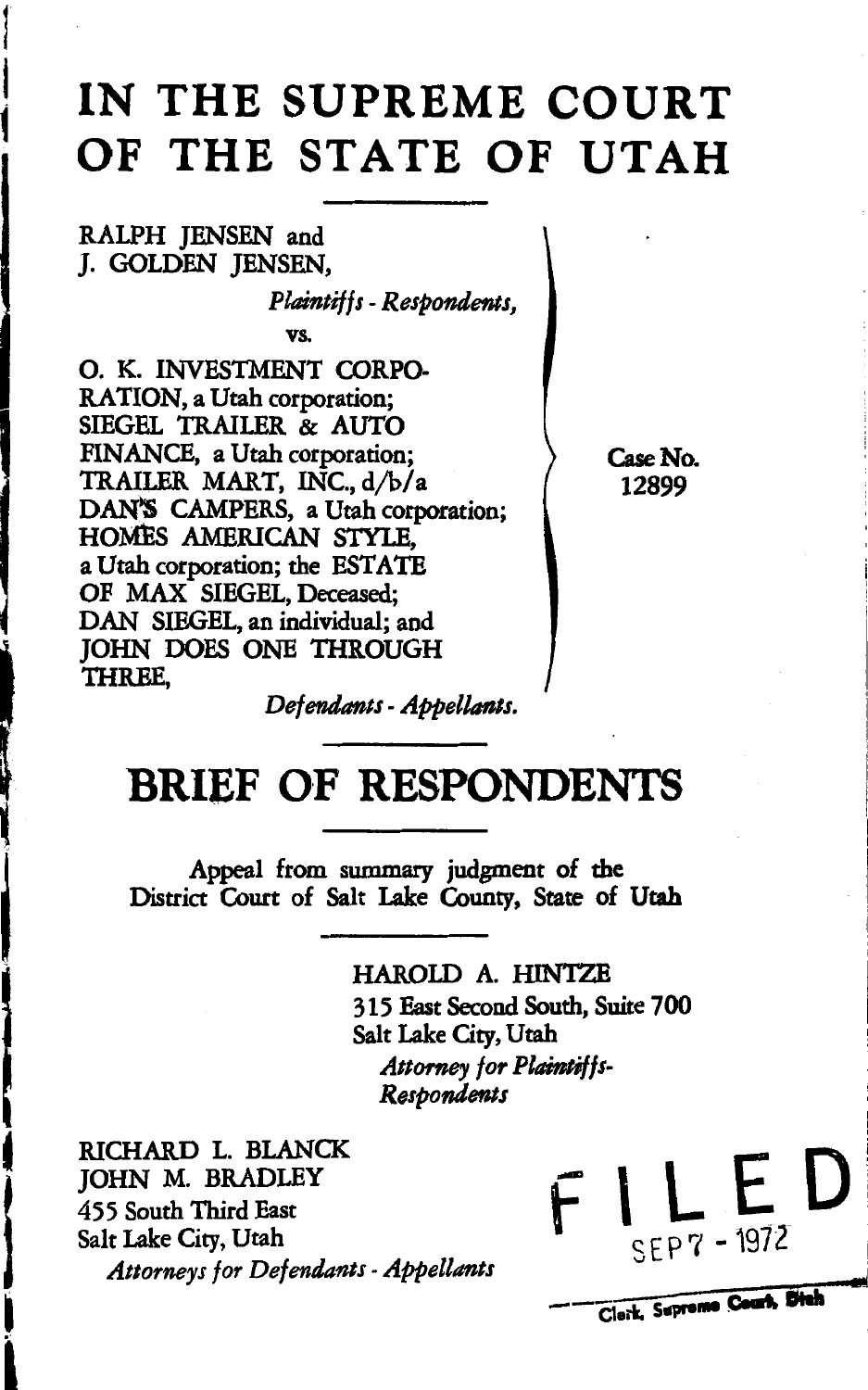# **IN THE SUPREME COURT OF THE STATE OF UTAH**

RALPH JENSEN and J. GOLDEN JENSEN,

 $\mathbf{r}$ 

f **1** 

 $\mathbf{I}$ 

 $\mathbf{I}$ 

**l** 

*Plaintiffs-Respondents,* 

vs.

0. K. INVESTMENT CORPO-RATION, a Utah corporation; SIEGEL TRAILER & AUTO FINANCE, a Utah corporation; TRAILER MART, INC., d/b/a DAN'S CAMPERS, a Utah corporation; HOMES AMERICAN STYLE, a Utah corporation; the ESTATE OF MAX SIEGEL, Deceased; DAN SIEGEL, an individual; and JOHN DOES ONE THROUGH THREE,

Case No. 12899

*Defendants* -*Appellants.* 

# **BRIEF OF RESPONDENTS**

Appeal from summary judgment of the District Court of Salt Lake County, State of Utah

> HAROLD A. HINTZE 315 East Second South, Suite 700 Salt Lake City, Utah Attorney for Plaintiffs-*Respondents*

 $\begin{matrix} \n\end{matrix}$ RICHARD L. BLANCK JOHN M. BRADLEY 455 South Third East Salt Lake City, Utah *Attorneys /or Defendants* -*Appellants* 

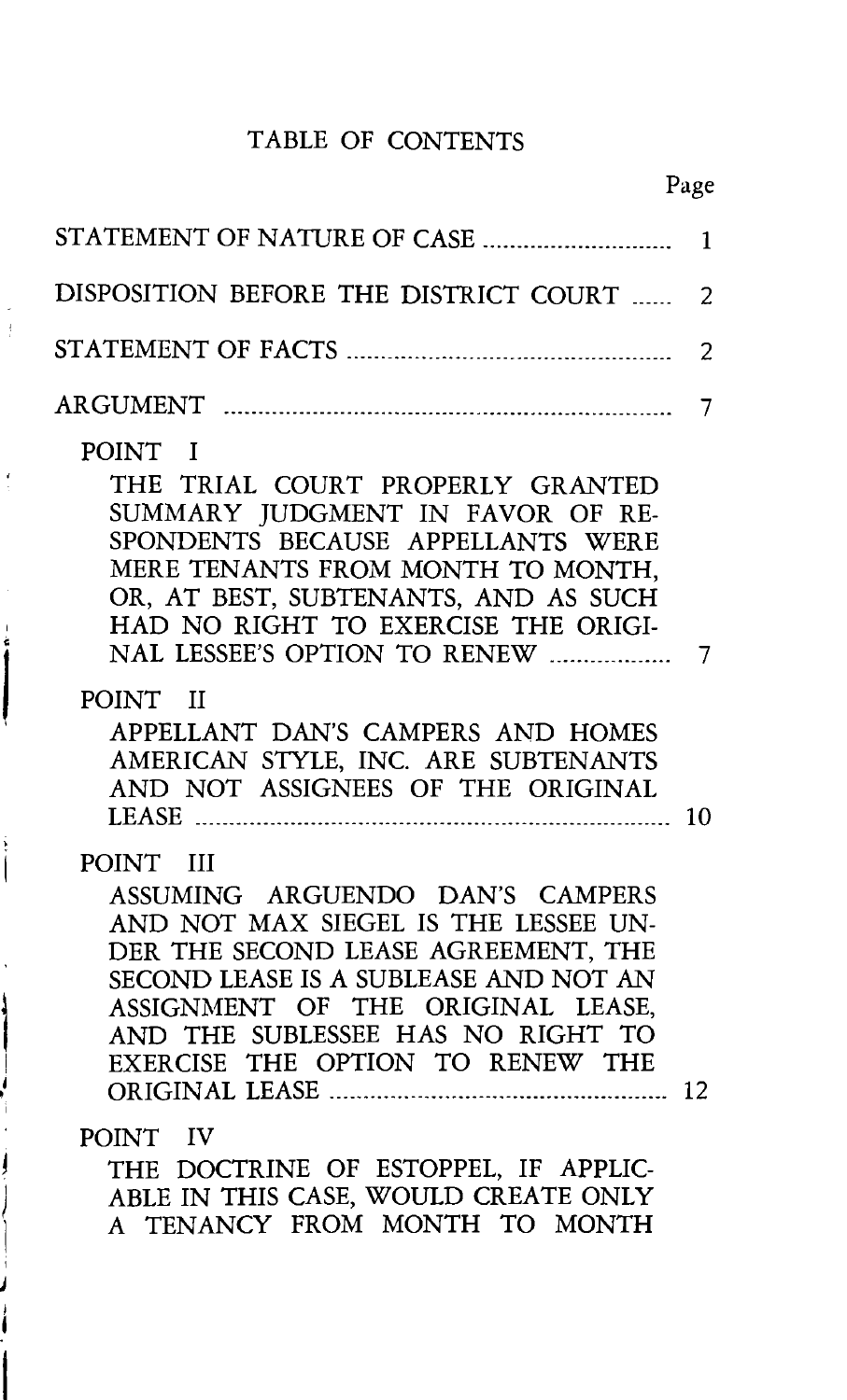## TABLE OF CONTENTS

|                                                                                                                                                                                                                                                                                    | 1              |
|------------------------------------------------------------------------------------------------------------------------------------------------------------------------------------------------------------------------------------------------------------------------------------|----------------|
| DISPOSITION BEFORE THE DISTRICT COURT                                                                                                                                                                                                                                              | $\overline{2}$ |
|                                                                                                                                                                                                                                                                                    | 2              |
|                                                                                                                                                                                                                                                                                    | 7              |
| POINT I<br>THE TRIAL COURT PROPERLY GRANTED<br>SUMMARY JUDGMENT IN FAVOR OF RE-<br>SPONDENTS BECAUSE APPELLANTS WERE<br>MERE TENANTS FROM MONTH TO MONTH,<br>OR, AT BEST, SUBTENANTS, AND AS SUCH<br>HAD NO RIGHT TO EXERCISE THE ORIGI-<br>NAL LESSEE'S OPTION TO RENEW           | $\overline{7}$ |
| POINT II<br>APPELLANT DAN'S CAMPERS AND HOMES<br>AMERICAN STYLE, INC. ARE SUBTENANTS<br>AND NOT ASSIGNEES OF THE ORIGINAL                                                                                                                                                          | 10             |
| POINT III<br>ASSUMING ARGUENDO DAN'S CAMPERS<br>AND NOT MAX SIEGEL IS THE LESSEE UN-<br>DER THE SECOND LEASE AGREEMENT, THE<br>SECOND LEASE IS A SUBLEASE AND NOT AN<br>ASSIGNMENT OF THE ORIGINAL LEASE,<br>AND THE SUBLESSEE HAS NO RIGHT TO<br>EXERCISE THE OPTION TO RENEW THE |                |
| POINT IV<br>THE DOCTRINE OF ESTOPPEL, IF APPLIC-<br>ABLE IN THIS CASE, WOULD CREATE ONLY<br>A TENANCY FROM MONTH TO MONTH                                                                                                                                                          |                |

Í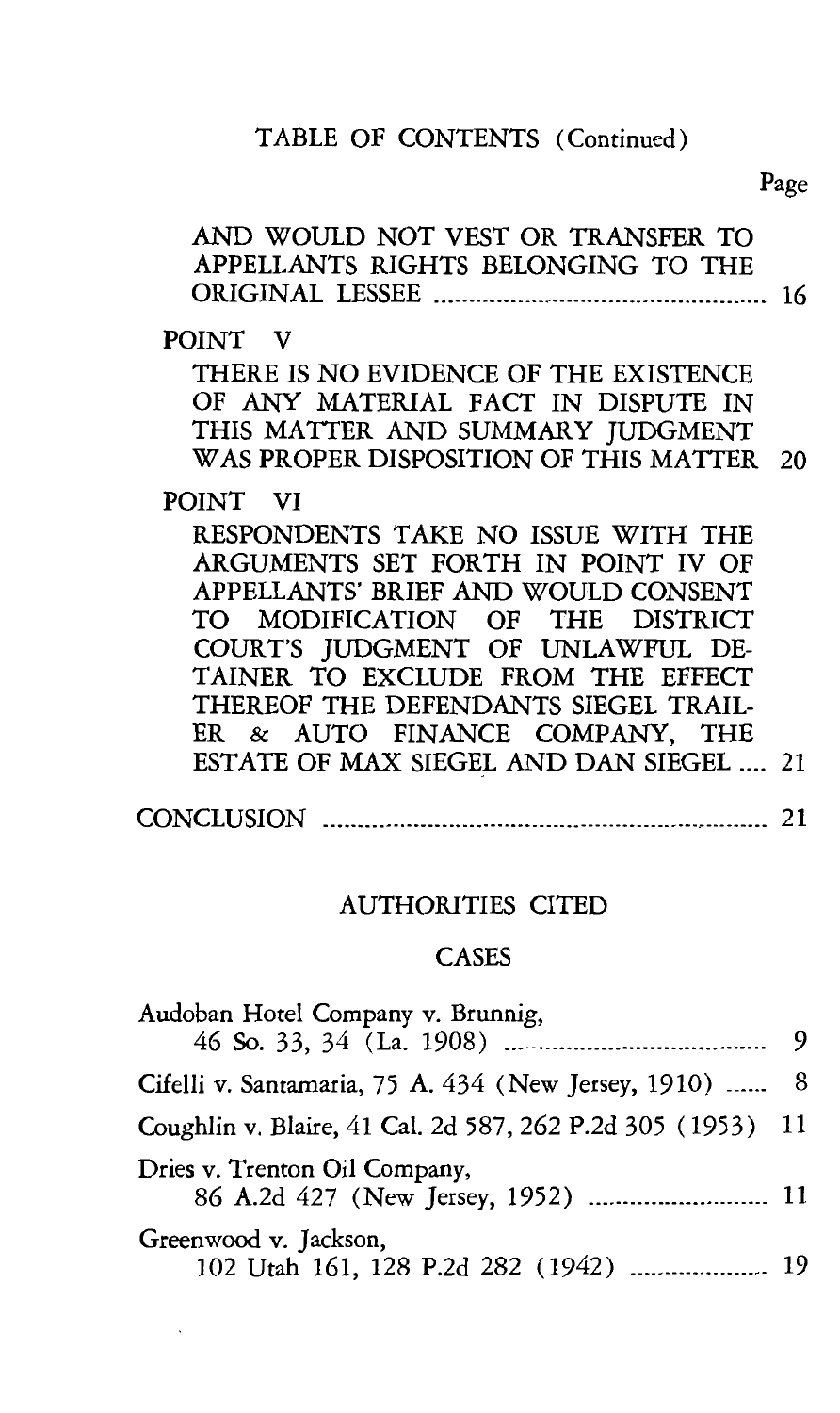## TABLE OF CONTENTS (Continued)

Page

| AND WOULD NOT VEST OR TRANSFER TO<br>APPELLANTS RIGHTS BELONGING TO THE |    |
|-------------------------------------------------------------------------|----|
| POINT V                                                                 |    |
| THERE IS NO EVIDENCE OF THE EXISTENCE                                   |    |
| OF ANY MATERIAL FACT IN DISPUTE IN                                      |    |
| THIS MATTER AND SUMMARY JUDGMENT                                        |    |
| WAS PROPER DISPOSITION OF THIS MATTER 20                                |    |
| POINT VI                                                                |    |
| RESPONDENTS TAKE NO ISSUE WITH THE                                      |    |
| ARGUMENTS SET FORTH IN POINT IV OF                                      |    |
| APPELLANTS' BRIEF AND WOULD CONSENT                                     |    |
| TO MODIFICATION OF THE DISTRICT                                         |    |
| COURT'S JUDGMENT OF UNLAWFUL DE-                                        |    |
| TAINER TO EXCLUDE FROM THE EFFECT                                       |    |
| THEREOF THE DEFENDANTS SIEGEL TRAIL-                                    |    |
| ER & AUTO FINANCE COMPANY, THE                                          |    |
| ESTATE OF MAX SIEGEL AND DAN SIEGEL  21                                 |    |
|                                                                         | 21 |

### AUTHORITIES CITED

## **CASES**

| Audoban Hotel Company v. Brunnig,                              |  |  |  |  |
|----------------------------------------------------------------|--|--|--|--|
|                                                                |  |  |  |  |
| Cifelli v. Santamaria, 75 A. 434 (New Jersey, 1910)  8         |  |  |  |  |
| Coughlin v. Blaire, 41 Cal. 2d 587, 262 P.2d 305 (1953) 11     |  |  |  |  |
| Dries v. Trenton Oil Company,                                  |  |  |  |  |
| Greenwood v. Jackson,<br>102 Utah 161, 128 P.2d 282 (1942)  19 |  |  |  |  |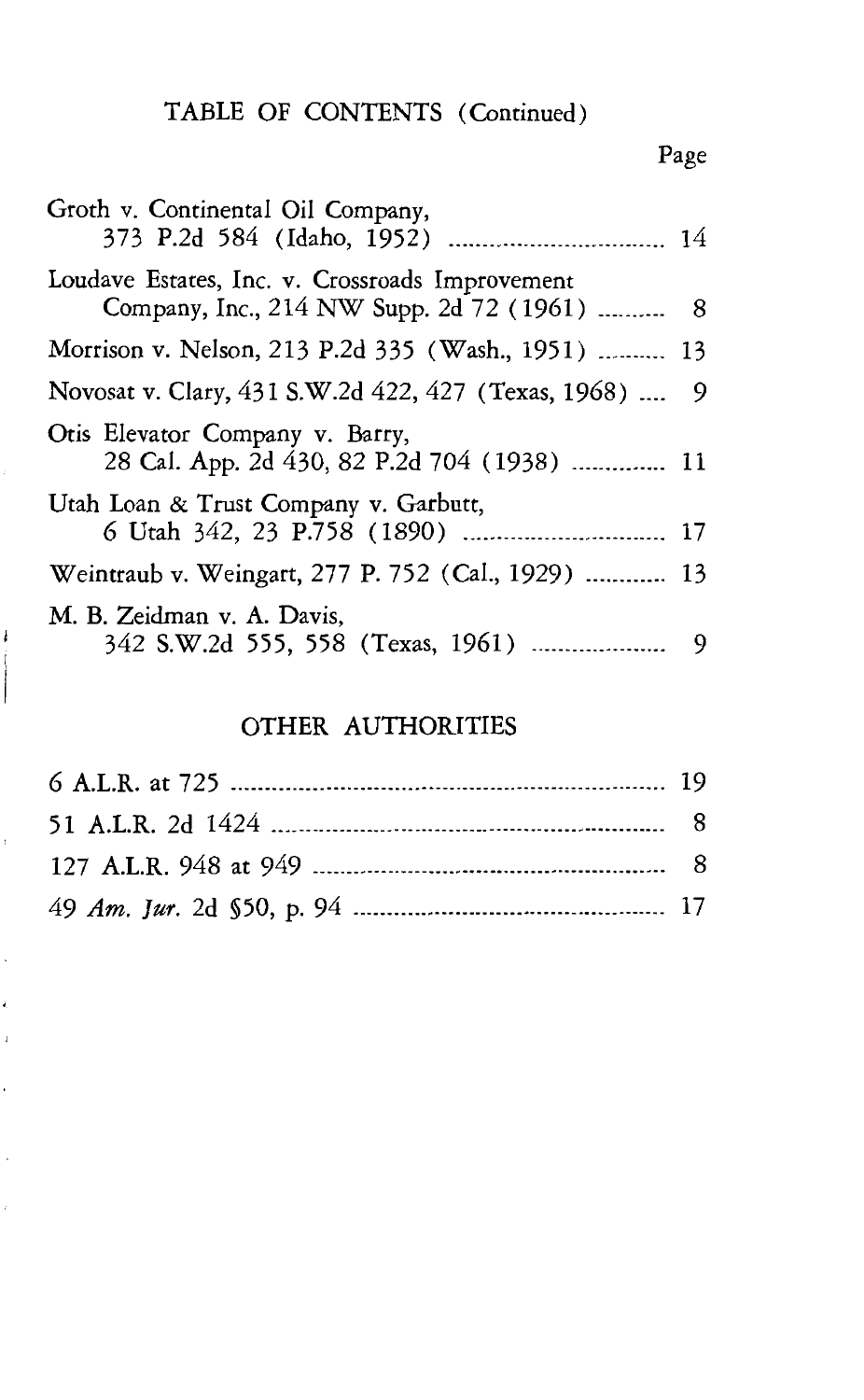## TABLE OF CONTENTS (Continued)

| -- |
|----|
|----|

| Groth v. Continental Oil Company,                                                              |  |
|------------------------------------------------------------------------------------------------|--|
| Loudave Estates, Inc. v. Crossroads Improvement<br>Company, Inc., 214 NW Supp. 2d 72 (1961)  8 |  |
| Morrison v. Nelson, 213 P.2d 335 (Wash., 1951)  13                                             |  |
| Novosat v. Clary, 431 S.W.2d 422, 427 (Texas, 1968)  9                                         |  |
| Otis Elevator Company v. Barry,<br>28 Cal. App. 2d 430, 82 P.2d 704 (1938)  11                 |  |
| Utah Loan & Trust Company v. Garbutt,<br>6 Utah 342, 23 P.758 (1890)  17                       |  |
| Weintraub v. Weingart, 277 P. 752 (Cal., 1929)  13                                             |  |
| M. B. Zeidman v. A. Davis,                                                                     |  |

### OTHER AUTHORITIES

ł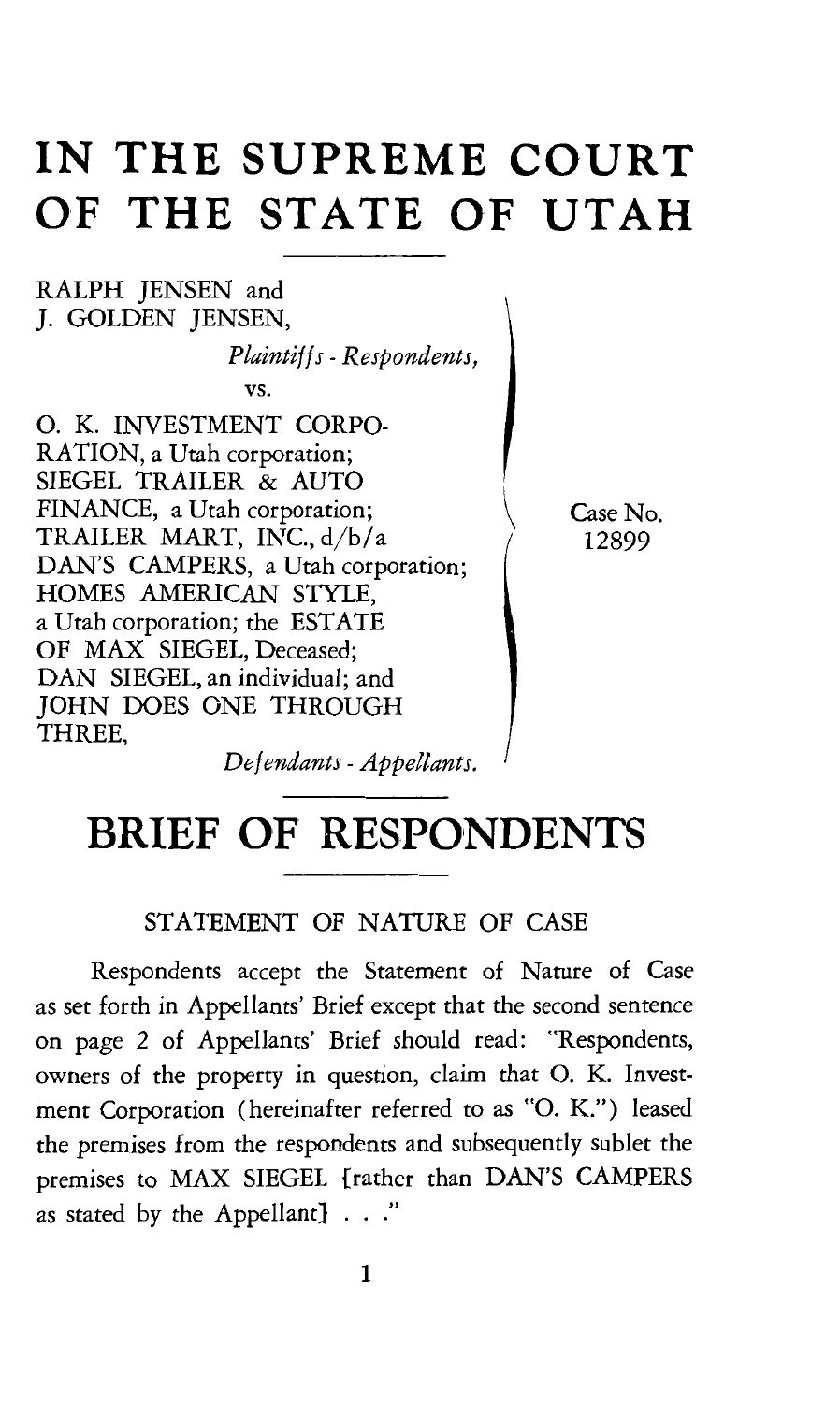# **IN THE SUPREME COURT OF THE STATE OF UTAH**

#### RALPH JENSEN and *].* GOLDEN JENSEN,

*Plaintiffs* - *Respondents,* 

vs.

0. K. INVESTMENT CORPO-RATION, a Utah corporation; SIEGEL TRAILER & AUTO FINANCE, a Utah corporation; TRAILER MART, INC., d/b/a DAN'S CAMPERS, a Utah corporation; HOMES AMERICAN STYLE, a Utah corporation; the ESTATE OF MAX SIEGEL, Deceased; DAN SIEGEL, an individual; and JOHN DOES ONE THROUGH THREE,

Case No. 12899

*Defendants-Appellants.* 

# **BRIEF OF RESPONDENTS**

#### STATEMENT OF NATURE OF CASE

Respondents accept the Statement of Nature of Case as set forth in Appellants' Brief except that the second sentence on page 2 of Appellants' Brief should read: "Respondents, owners of the property in question, claim that 0. K. Investment Corporation (hereinafter referred to as "O. K.") leased the premises from the respondents and subsequently sublet the premises to MAX SIEGEL {rather than DAN'S CAMPERS as stated by the Appellant}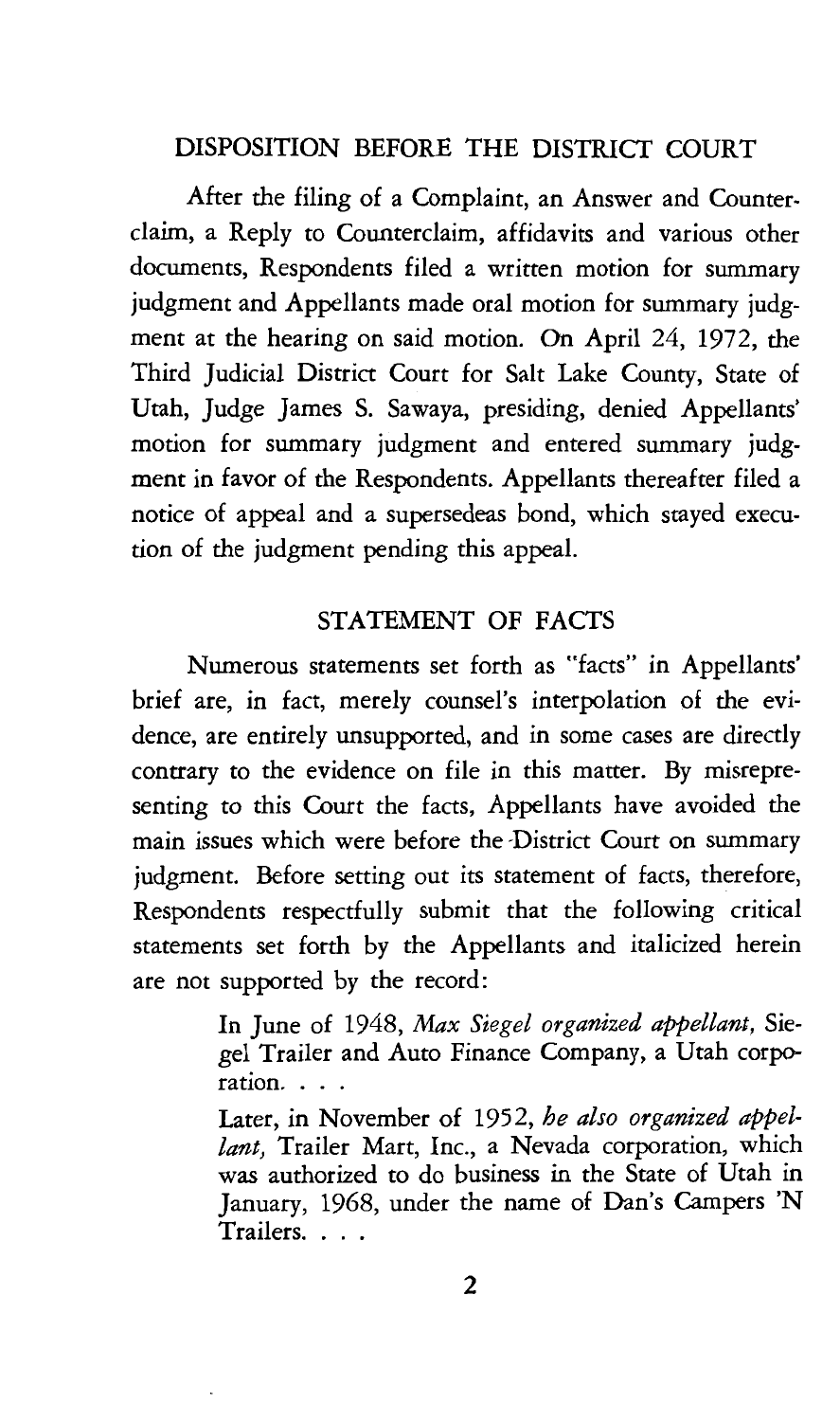#### DISPOSITION BEFORE THE DISTRICT COURT

After the filing of a Complaint, an Answer and Counterclaim, a Reply to Counterclaim, affidavits and various other documents, Respondents filed a written motion for summary judgment and Appellants made oral motion for summary judgment at the hearing on said motion. On April 24, 1972, the Third Judicial District Court for Salt Lake County, State of Utah, Judge James S. Sawaya, presiding, denied Appellants' motion for summary judgment and entered summary judgment in favor of the Respondents. Appellants thereafter filed a notice of appeal and a supersedeas bond, which stayed execution of the judgment pending this appeal.

#### STATEMENT OF FACTS

Numerous statements set forth as "facts" in Appellants' brief are, in fact, merely counsel's interpolation of the evidence, are entirely unsupported, and in some cases are directly contrary to the evidence on file in this matter. By misrepresenting to this Court the facts, Appellants have avoided the main issues which were before the -District Court on summary judgment. Before setting out its statement of facts, therefore, Respondents respectfully submit that the following critical statements set forth by the Appellants and italicized herein are not supported by the record:

> In June of 1948, *Max Siegel organized appellant,* Siegel Trailer and Auto Finance Company, a Utah corporation...

> Later, in November of 1952, *he also organized appellant,* Trailer Mart, Inc., a Nevada corporation, which was authorized to do business in the State of Utah in January, 1968, under the name of Dan's Campers 'N Trailers. . . .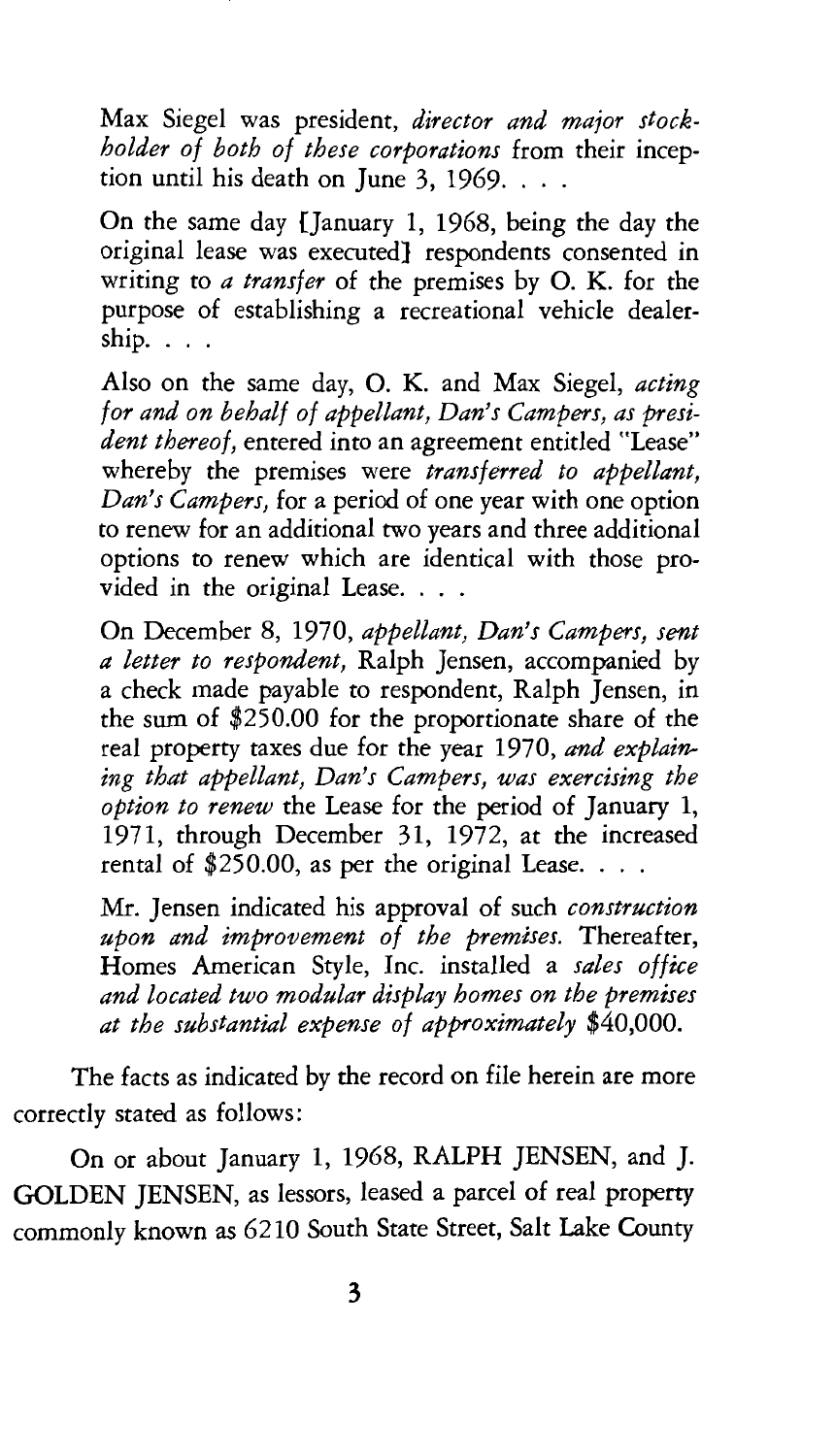Max Siegel was president, *director and major stockholder of both of these corporations* from their inception until his death on June  $3, 1969$ ...

On the same day {January 1, 1968, being the day the original lease was executed} respondents consented in writing to *a transfer* of the premises by 0. K. for the purpose of establishing a recreational vehicle dealer $ship. \ldots$ 

Also on the same day, 0. K. and Max Siegel, *acting for and on behalf of appellant, Dan's Campers, as president thereof,* entered into an agreement entitled "Lease" whereby the premises were *transferred to appellant, Dan's Campers,* for a period of one year with one option to renew for an additional two years and three additional options to renew which are identical with those provided in the original Lease. . . .

On December 8, 1970, *appellant, Dan's Campers, sent a letter to respondent,* Ralph Jensen, accompanied by a check made payable to respondent, Ralph Jensen, in the sum of \$250.00 for the proportionate share of the real property taxes due for the year 1970, *and explaining that appellant, Dan's Campers, was exercising the option to renew* the Lease for the period of January 1, 1971, through December 31, 1972, at the increased rental of  $$250.00$ , as per the original Lease. . . .

Mr. Jensen indicated his approval of such *construction upon and improvement of the premises.* Thereafter, Homes American Style, Inc. installed a *sales office and located two modular display homes on the premises at the substantial expense of approximately* \$40,000.

The facts as indicated by the record on file herein are more correctly stated as follows:

On or about January 1, 1968, RALPH JENSEN, and J. GOLDEN JENSEN, as lessors, leased a parcel of real property commonly known as 6210 South State Street, Salt Lake County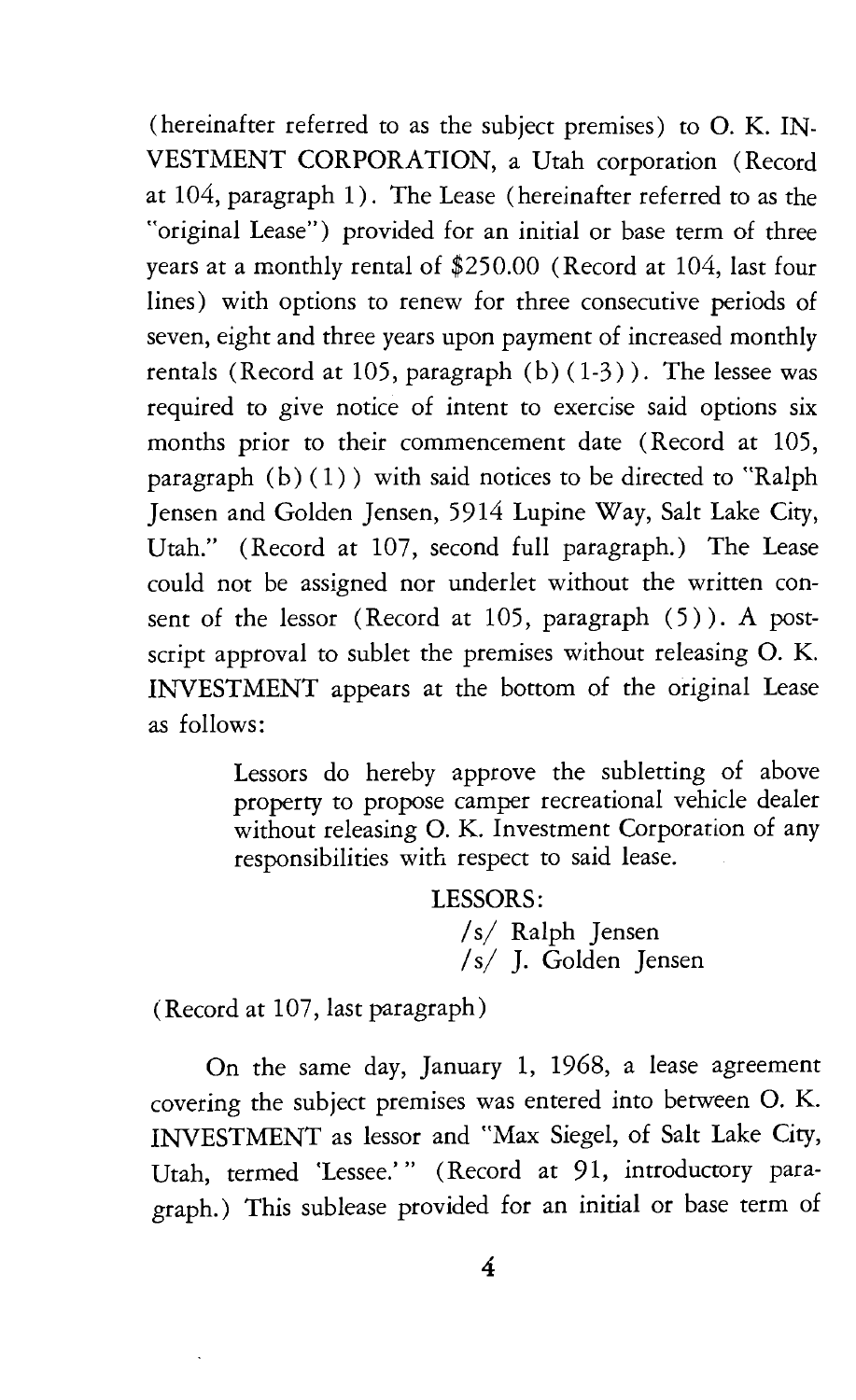(hereinafter referred to as the subject premises) to 0. K. IN-VESTMENT CORPORATION, a Utah corporation (Record at 104, paragraph 1). The Lease (hereinafter referred to as the "original Lease") provided for an initial or base term of three years at a monthly rental of \$250.00 (Record at 104, last four lines) with options to renew for three consecutive periods of seven, eight and three years upon payment of increased monthly rentals (Record at 105, paragraph  $(b)$   $(1-3)$ ). The lessee was required to give notice of intent to exercise said options six months prior to their commencement date (Record at 105, paragraph  $(b) (1)$  ) with said notices to be directed to "Ralph Jensen and Golden Jensen, 5914 Lupine Way, Salt Lake City, Utah." (Record at 107, second full paragraph.) The Lease could not be assigned nor underlet without the written consent of the lessor (Record at 105, paragraph (5)). A postscript approval to sublet the premises without releasing 0. K. INVESTMENT appears at the bottom of the original Lease as follows:

> Lessors do hereby approve the subletting of above property to propose camper recreational vehicle dealer without releasing O. K. Investment Corporation of any responsibilities with respect to said lease.

> > LESSORS: *Is/* Ralph Jensen *Is/* J. Golden Jensen

(Record at 107, last paragraph)

On the same day, January 1, 1968, a lease agreement covering the subject premises was entered into between 0. K. INVESTMENT as lessor and "Max Siegel, of Salt Lake City, Utah, termed 'Lessee.'" (Record at 91, introductory paragraph.) This sublease provided for an initial or base term of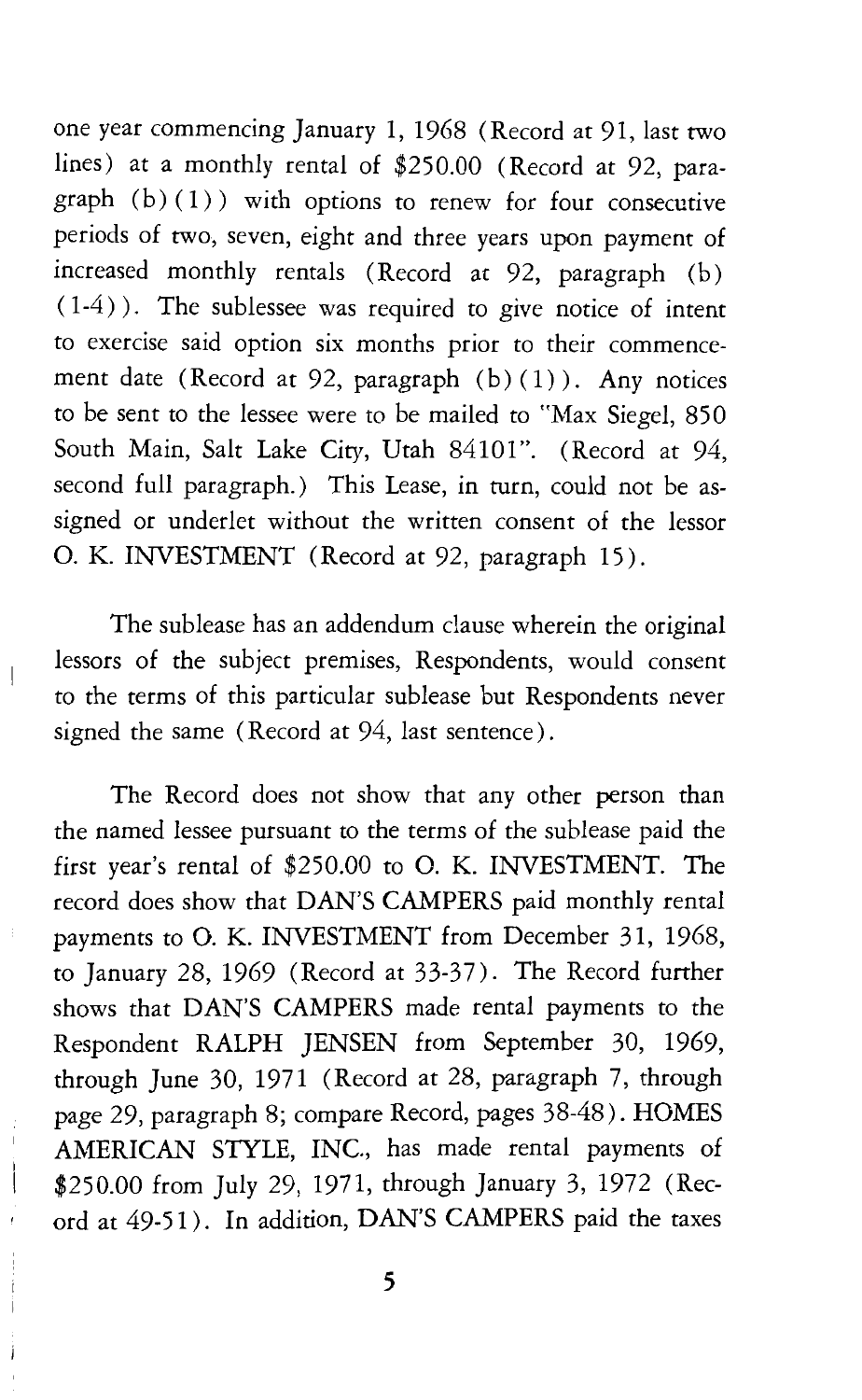one year commencing January 1, 1968 (Record at 91, last two lines) at a monthly rental of \$250.00 (Record at 92, paragraph (b)(1)) with options to renew for four consecutive periods of two, seven, eight and three years upon payment of increased monthly rentals (Record at 92, paragraph (b)  $(1-4)$ ). The sublessee was required to give notice of intent to exercise said option six months prior to their commencement date (Record at 92, paragraph  $(b)(1)$ ). Any notices to be sent to the lessee were to be mailed to "Max Siegel, 850 South Main, Salt Lake City, Utah 84101". (Record at 94, second full paragraph.) This Lease, in turn, could not be assigned or underlet without the written consent of the lessor 0. K. INVESTMENT (Record at 92, paragraph 15).

The sublease has an addendum clause wherein the original lessors of the subject premises, Respondents, would consent to the terms of this particular sublease but Respondents never signed the same (Record at 94, last sentence).

The Record does not show that any other person than the named lessee pursuant to the terms of the sublease paid the first year's rental of \$250.00 to 0. K. INVESTMENT. The record does show that DAN'S CAMPERS paid monthly rental payments to 0. K. INVESTMENT from December 31, 1968, to January 28, 1969 (Record at 33-37). The Record further shows that DAN'S CAMPERS made rental payments to the Respondent RALPH JENSEN from September 30, 1969, through June 30, 1971 (Record at 28, paragraph 7, through page 29, paragraph 8; compare Record, pages 38-48). HOMES AMERICAN STYLE, INC., has made rental payments of \$250.00 from July 29, 1971, through January 3, 1972 (Record at 49-51). In addition, DAN'S CAMPERS paid the taxes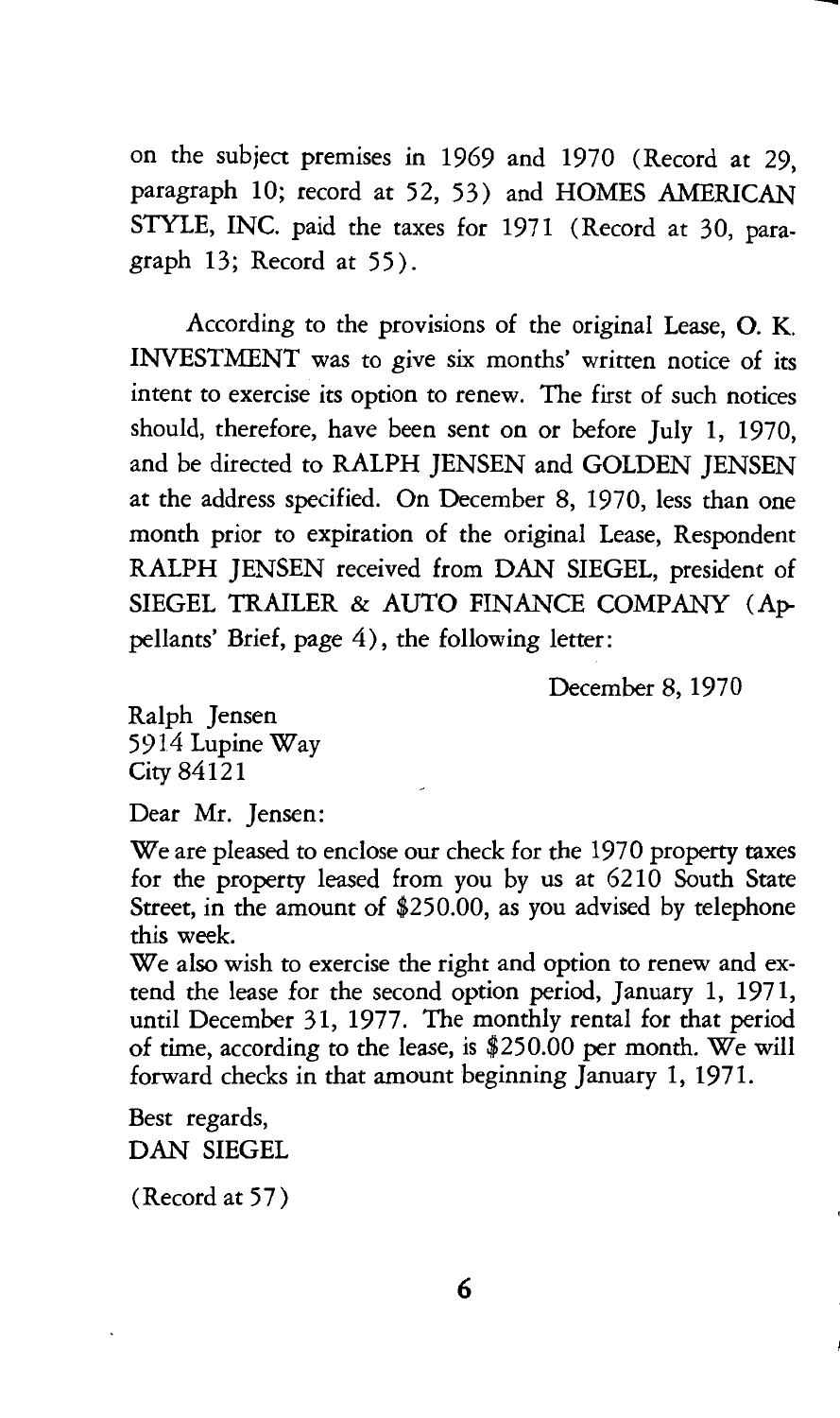on the subject premises in 1969 and 1970 (Record at 29, paragraph 10; record at 52, 53) and HOMES AMERICAN STYLE, INC. paid the taxes for 1971 (Record at 30, paragraph 13; Record at 55).

According to the provisions of the original Lease, 0. K. INVESTMENT was to give six months' written notice of its intent to exercise its option to renew. The first of such notices should, therefore, have been sent on or before July 1, 1970, and be directed to RALPH JENSEN and GOLDEN JENSEN at the address specified. On December 8, 1970, less than one month prior to expiration of the original Lease, Respondent RALPH JENSEN received from DAN SIEGEL, president of SIEGEL TRAILER & AUTO FINANCE COMPANY (Appellants' Brief, page 4), the following letter:

December 8, 1970

Ralph Jensen 5914 Lupine Way City 84121

Dear Mr. Jensen:

We are pleased to enclose our check for the 1970 property taxes for the property leased from you by us at 6210 South State Street, in the amount of \$250.00, as you advised by telephone this week.

We also wish to exercise the right and option to renew and extend the lease for the second option period, January 1, 1971, until December 31, 1977. The monthly rental for that period of time, according to the lease, is \$250.00 per month. We will forward checks in that amount beginning January 1, 1971.

Best regards, DAN SIEGEL

(Record at 57)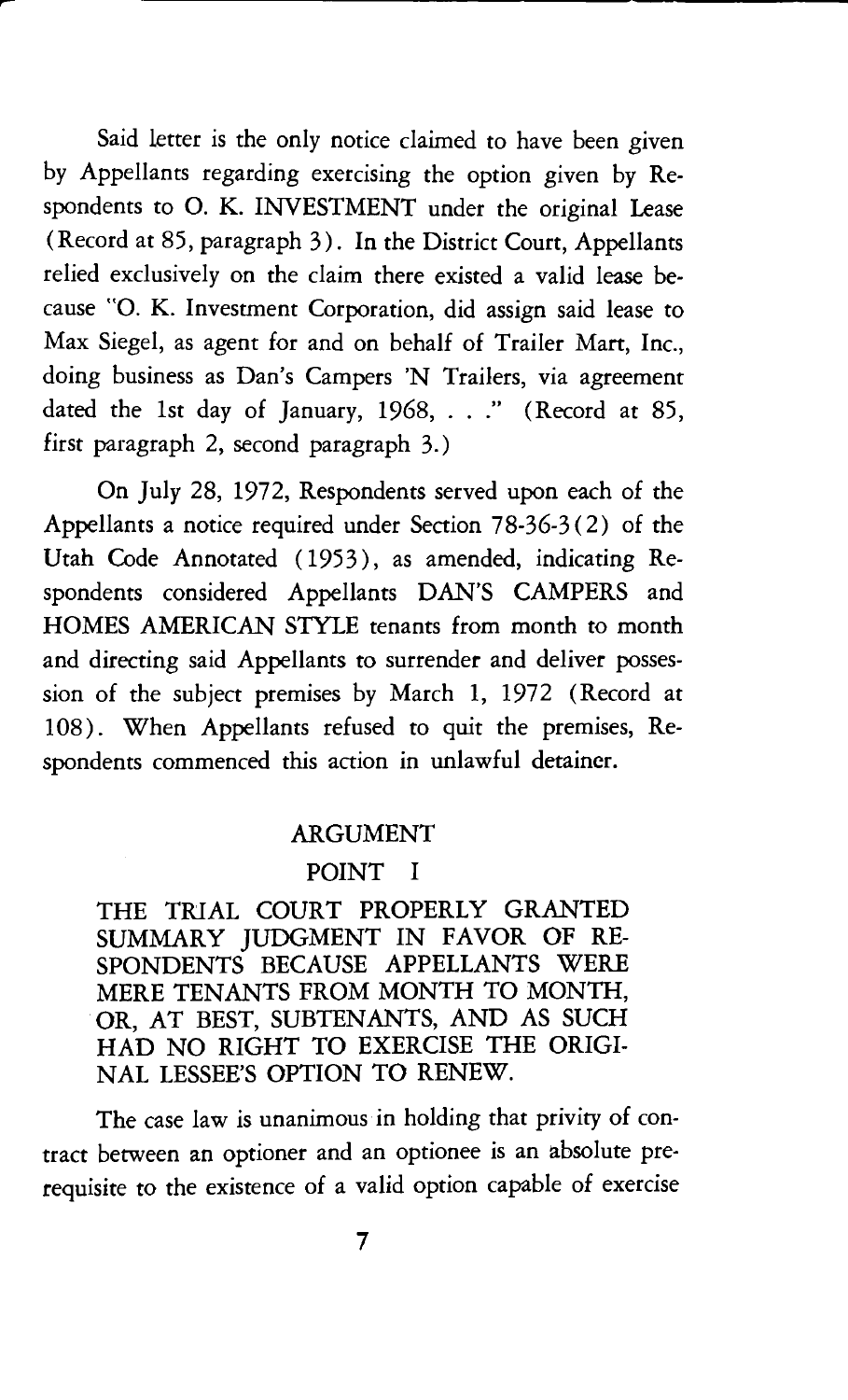Said letter is the only notice claimed to have been given by Appellants regarding exercising the option given by Respondents to 0. K. INVESTMENT under the original Lease (Record at 85, paragraph 3). In the District Court, Appellants relied exclusively on the claim there existed a valid lease because "O. K. Investment Corporation, did assign said lease to Max Siegel, as agent for and on behalf of Trailer Mart, Inc., doing business as Dan's Campers 'N Trailers, via agreement dated the 1st day of January, 1968, ..." (Record at 85, first paragraph 2, second paragraph 3.)

On July 28, 1972, Respondents served upon each of the Appellants a notice required under Section 78-36-3(2) of the Utah Code Annotated (1953), as amended, indicating Respondents considered Appellants DAN'S CAMPERS and HOMES AMERICAN STYLE tenants from month to month and directing said Appellants to surrender and deliver possession of the subject premises by March 1, 1972 (Record at 108). When Appellants refused to quit the premises, Respondents commenced this action in unlawful detainer.

#### ARGUMENT

#### POINT I

THE TRIAL COURT PROPERLY GRANTED SUMMARY JUDGMENT IN FAVOR OF RE-SPONDENTS BECAUSE APPELLANTS WERE MERE TENANTS FROM MONTH TO MONTH, OR, AT BEST, SUBTENANTS, AND AS SUCH HAD NO RIGHT TO EXERCISE THE ORIGI-NAL LESSEE'S OPTION TO RENEW.

The case law is unanimous in holding that privity of contract between an optioner and an optionee is an absolute prerequisite to the existence of a valid option capable of exercise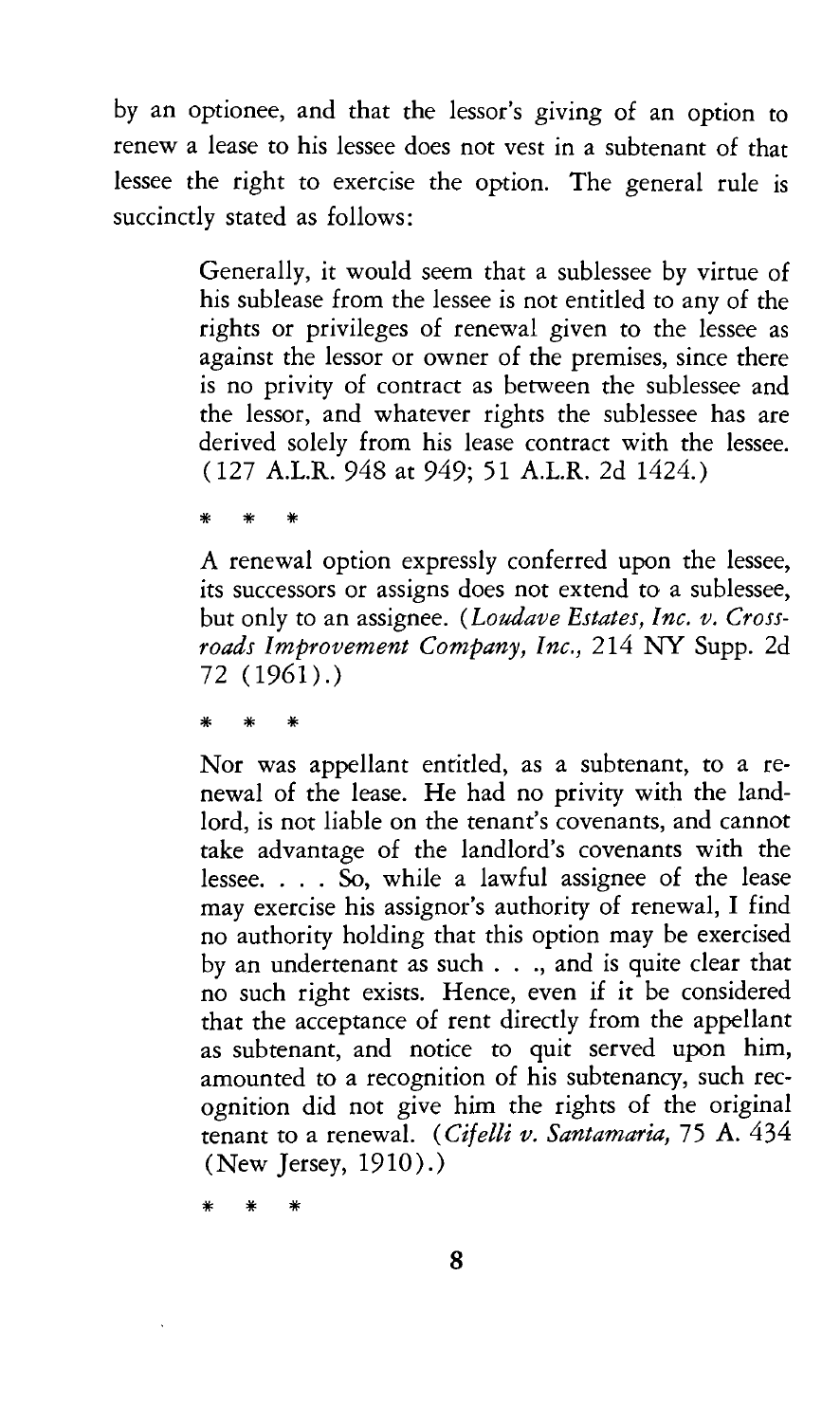by an optionee, and that the lessor's giving of an option to renew a lease to his lessee does not vest in a subtenant of that lessee the right to exercise the option. The general rule is succinctly stated as follows:

> Generally, it would seem that a sublessee by virtue of his sublease from the lessee is not entitled to any of the rights or privileges of renewal given to the lessee as against the lessor or owner of the premises, since there is no privity of contract as between the sublessee and the lessor, and whatever rights the sublessee has are derived solely from his lease contract with the lessee. ( 127 A.LR. 948 at 949; 51 A.LR. 2d 1424.)

\* \* \*

A renewal option expressly conferred upon the lessee, its successors or assigns does not extend to a sublessee, but only to an assignee. *(Loudave Estates, Inc. v. Crossroads Improvement Company, Inc.,* 214 NY Supp. 2d 72 (1961).)

\* \* \*

Nor was appellant entitled, as a subtenant, to a renewal of the lease. He had no privity with the landlord, is not liable on the tenant's covenants, and cannot take advantage of the landlord's covenants with the lessee.  $\ldots$  So, while a lawful assignee of the lease may exercise his assignor's authority of renewal, I find no authority holding that this option may be exercised by an undertenant as such . . ., and is quite clear that no such right exists. Hence, even if it be considered that the acceptance of rent directly from the appellant as subtenant, and notice to quit served upon him, amounted to a recognition of his subtenancy, such recognition did not give him the rights of the original tenant to a renewal. *(Cifelli v. Santamaria,* 75 A. 434 (New Jersey, 1910) .)

\* \* \*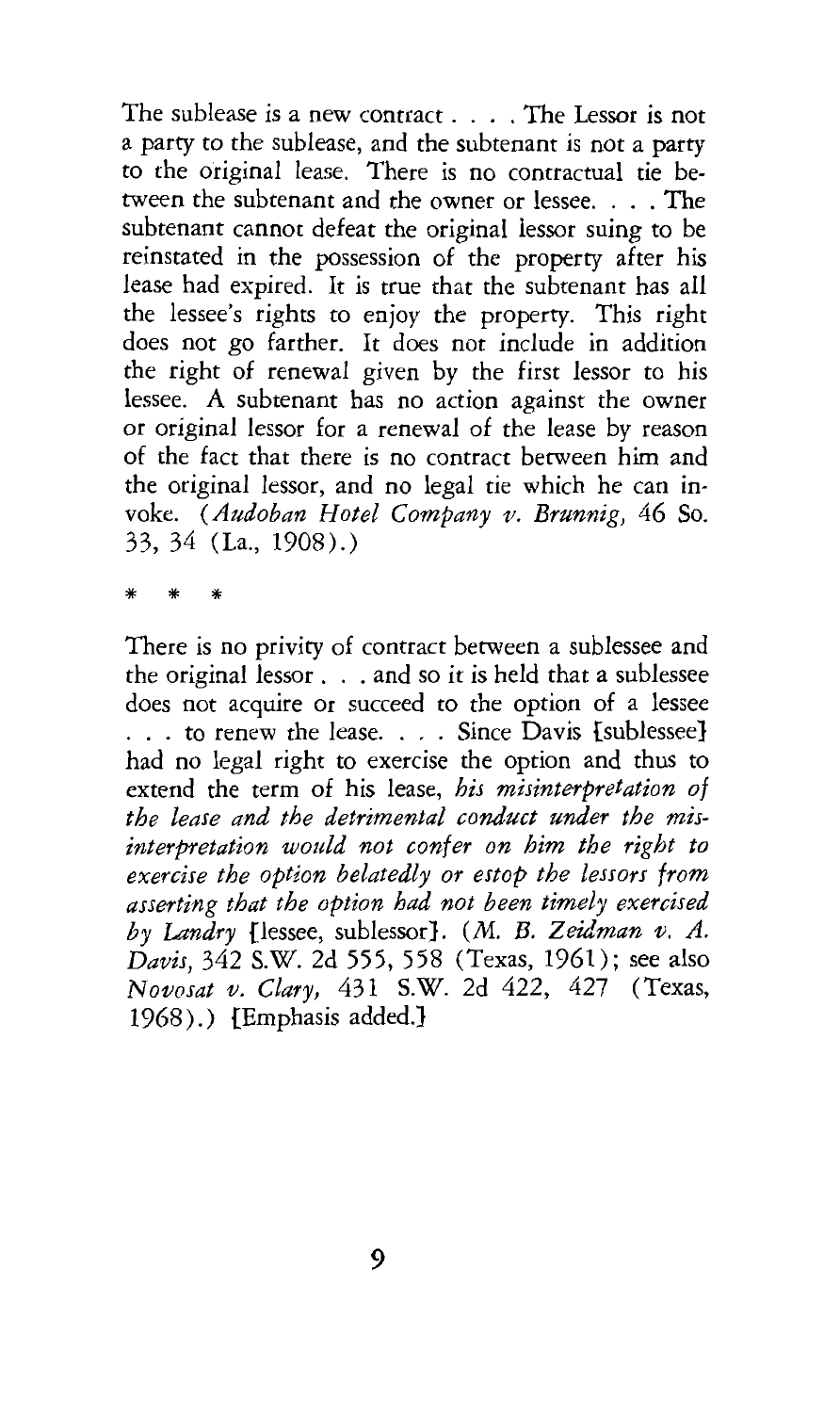The sublease is a new contract . . . . The Lessor is not a party to the sublease, and the subtenant is not a party to the original lease. There is no contractual tie between the subtenant and the owner or lessee. . . . The subtenant cannot defeat the original lessor suing to be reinstated in the possession of the property after his lease had expired. It is true that the subtenant has all the lessee's rights to enjoy the property. This right does not go farther. It does not include in addition the right of renewal given by the first lessor to his lessee. A subtenant has no action against the owner or original lessor for a renewal of the lease by reason of the fact that there is no contract between him and the original lessor, and no legal tie which he can invoke. *(Audoban Hotel Company v. Brunnig,* 46 So. 33, 34 (La., 1908).)

\* \* \*

There is no privity of contract between a sublessee and the original lessor . . . and so it is held that a sublessee does not acquire or succeed to the option of a lessee ... to renew the lease .... Since Davis [sublessee} had no legal right to exercise the option and thus to extend the term of his lease, *his misinterpretation of the lease and the detrimental conduct under the misinterpretation would not confer on him the right to exercise the option belatedly or estop the lessors from asserting that the option had not been timely exercised by Landry* [lessee, sublessor}. *(M. B. Zeidman v. A. Davis,* 342 S.W. 2d 555, 558 (Texas, 1961); see also *N ovosat v. Clary,* 431 S.W. 2d 422, 427 (Texas, 1968).) [Emphasis added.}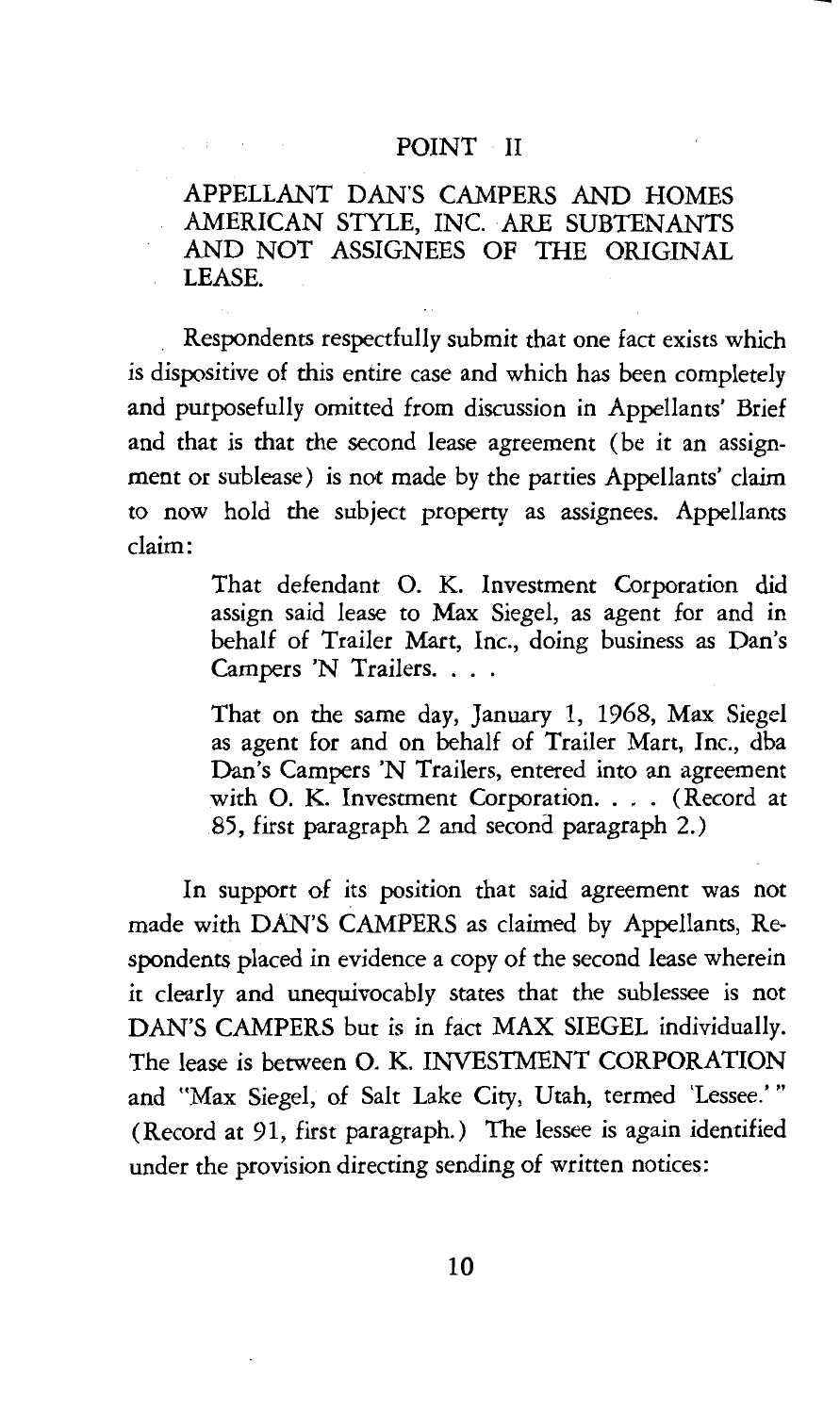#### POINT II

APPELLANT DAN'S CAMPERS AND HOMES AMERICAN STYLE, INC. ARE SUBTENANTS AND NOT ASSIGNEES OF THE ORIGINAL LEASE.

Respondents respectfully submit that one fact exists which *is dispositive* of *this* entire case and which has been completely and purposefully omitted from *discussion in* Appellants' Brief and that *is* that the second lease agreement (be *it* an assignment or sublease) *is* not made by the parties Appellants' claim to now hold the subject property as assignees. Appellants claim:

> That defendant 0. K. Investment Corporation did assign said lease to Max Siegel, as agent for and *in*  behalf of Trailer Mart, Inc., doing *business* as Dan's Campers 'N Trailers. . . .

> That on the same day, January 1, 1968, Max Siegel as agent for and on behalf of Trailer Mart, Inc., dba Dan's Campers 'N Trailers, entered *into* an agreement with O. K. Investment Corporation. . . . (Record at 85, first paragraph 2 and second paragraph 2.)

In support of its position that said agreement was not made with DAN'S CAMPERS as claimed by Appellants, Respondents placed *in* evidence a copy of the second lease wherein it clearly and unequivocably states that the sublessee is not DAN'S CAMPERS but is in fact MAX SIEGEL individually. The lease is between 0. K. INVESTMENT CORPORATION and "Max Siegel, of Salt Lake City, Utah, termed 'Lessee.'" (Record at 91, first paragraph.) The lessee is again identified under the provision directing sending of written notices: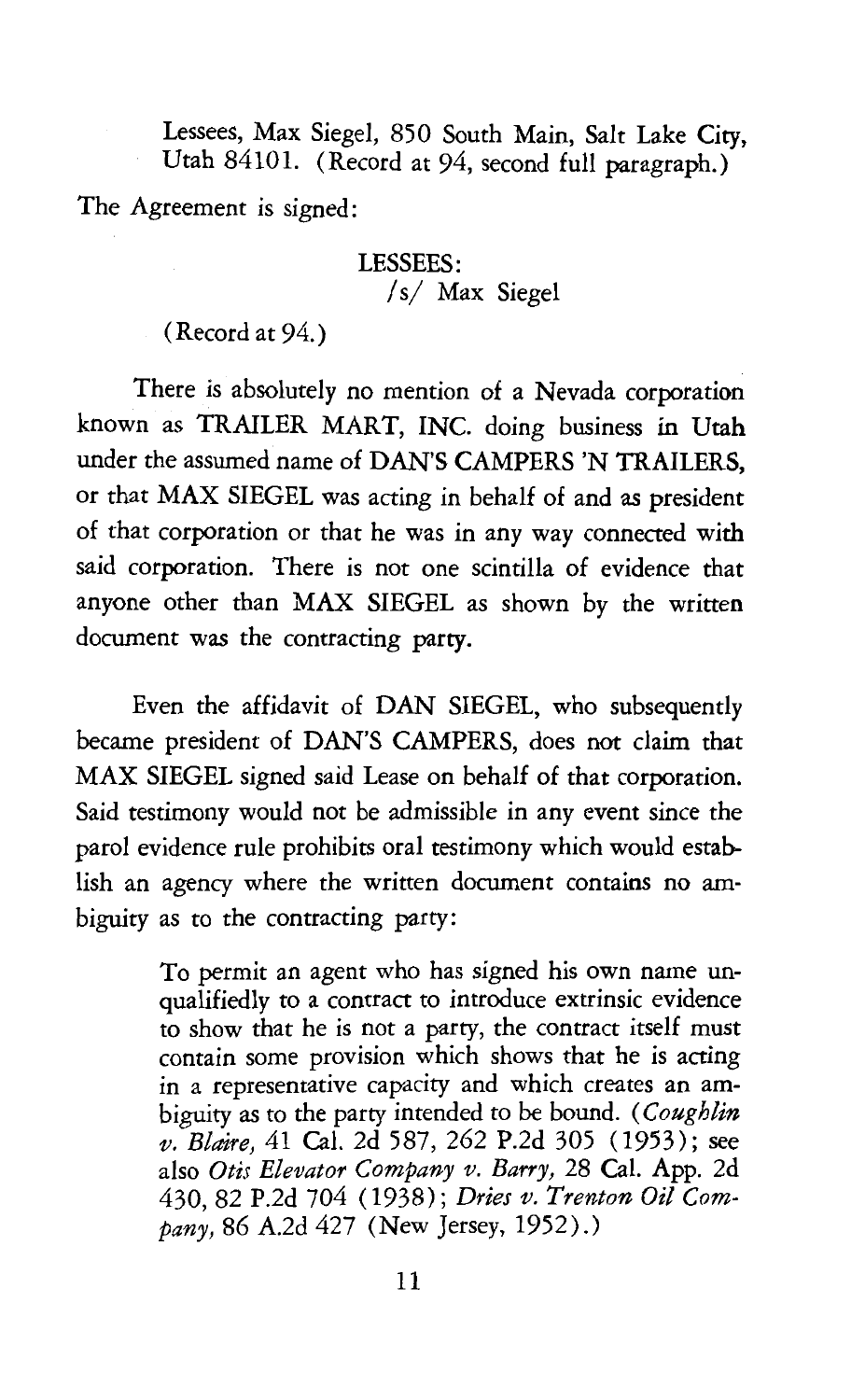Lessees, Max Siegel, 850 South Main, Salt Lake City, Utah 84101. (Record at 94, second full paragraph.)

The Agreement *is* signed:

#### LESSEES: *Is/* Max Siegel

(Record at 94.)

There is absolutely no mention of a Nevada corporation known as TRAILER MART, INC. doing business in Utah under the assumed name of DAN'S CAMPERS 'N TRAILERS, or that MAX SIEGEL was acting in behalf of and as president of that corporation or that he was in any way connected with said corporation. There is not one scintilla of evidence that anyone other than MAX SIEGEL as shown by the written document was the contracting party.

Even the affidavit of DAN SIEGEL, who subsequently became president of DAN'S CAMPERS, does not claim that MAX SIEGEL signed said Lease on behalf of that corporation. Said testimony would not be admissible in any event since the parol evidence rule prohibits oral testimony which would establish an agency where the written document contains no ambiguity as to the contracting party:

> To permit an agent who has signed his own name unqualifiedly to a contract to introduce extrinsic evidence to show that he is not a party, the contract itself must contain some provision which shows that he is acting in a representative capacity and which creates an ambiguity as to the party intended to be bound. *(Coughlin v. Blaire,* 41 Cal. 2d 587, 262 P.2d 305 (1953); see also *Otis Elevator Company v. Barry,* 28 Cal. App. 2d 430, 82 P.2d 704 ( 1938); *Dries v. Trenton Oil Company,* 86 A.2d 427 (New Jersey, 1952) .)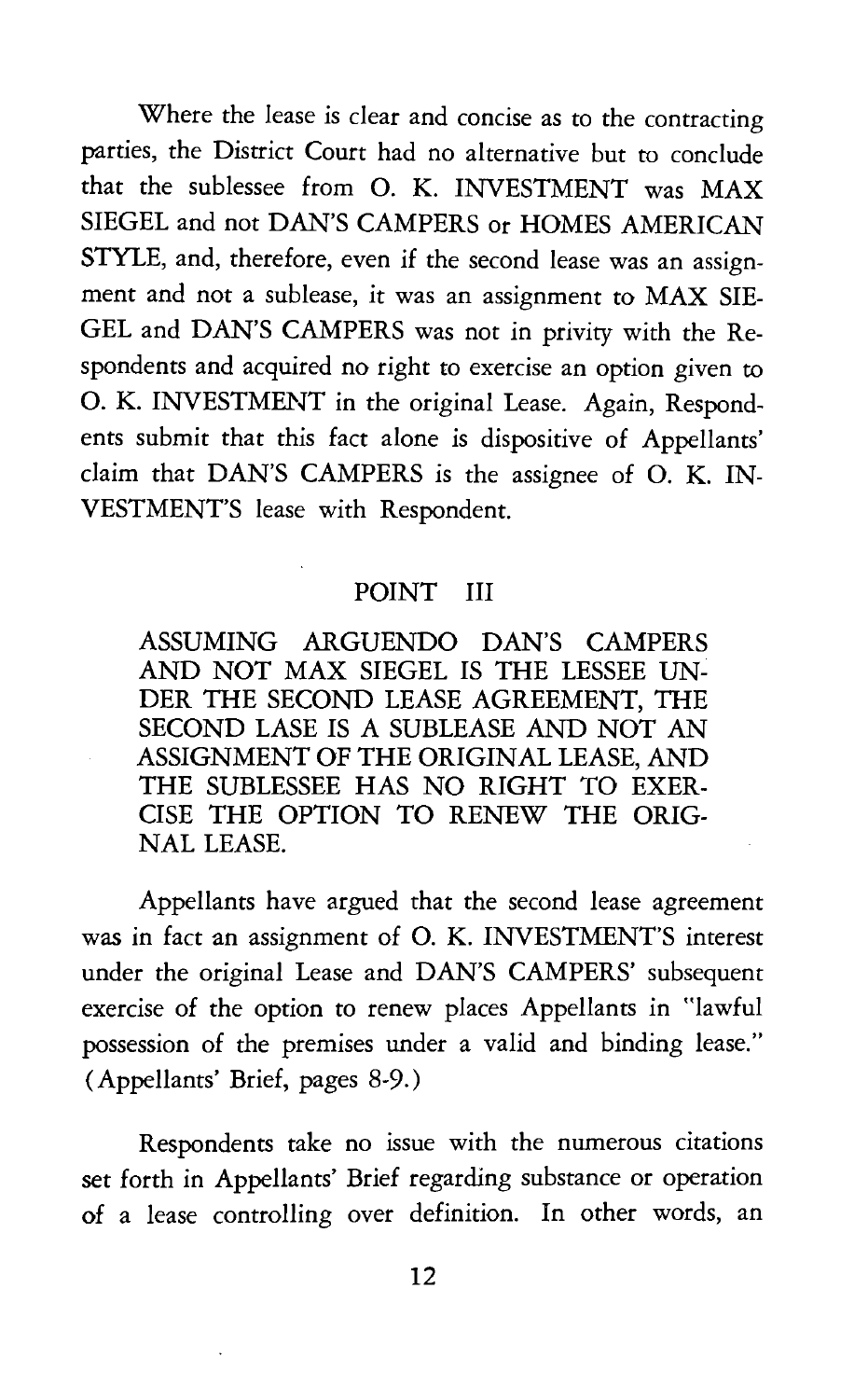Where the lease is clear and concise as to the contracting parties, the District Court had no alternative but to conclude that the sublessee from 0. K. INVESTMENT was MAX SIEGEL and not DAN'S CAMPERS or HOMES AMERICAN STYLE, and, therefore, even if the second lease was an assignment and not a sublease, it was an assignment to MAX SIE-GEL and DAN'S CAMPERS was not in privity with the Respondents and acquired no right to exercise an option given to 0. K. INVESTMENT in the original Lease. Again, Respondents submit that this fact alone is dispositive of Appellants' claim that DAN'S CAMPERS is the assignee of 0. K. IN-VESTMENT'S lease with Respondent.

#### POINT III

ASSUMING ARGUENDO DAN'S CAMPERS AND NOT MAX SIEGEL IS THE LESSEE UN-DER THE SECOND LEASE AGREEMENT, THE SECOND LASE IS A SUBLEASE AND NOT AN ASSIGNMENT OF THE ORIGINAL LEASE, AND THE SUBLESSEE HAS NO RIGHT TO EXER-CISE THE OPTION TO RENEW THE ORIG-NAL LEASE.

Appellants have argued that the second lease agreement was in fact an assignment of 0. K. INVESTMENT'S interest under the original Lease and DAN'S CAMPERS' subsequent exercise of the option to renew places Appellants in "lawful possession of the premises under a valid and binding lease." (Appellants' Brief, pages 8-9.)

Respondents take no issue with the numerous citations set forth in Appellants' Brief regarding substance or operation of a lease controlling over definition. In other words, an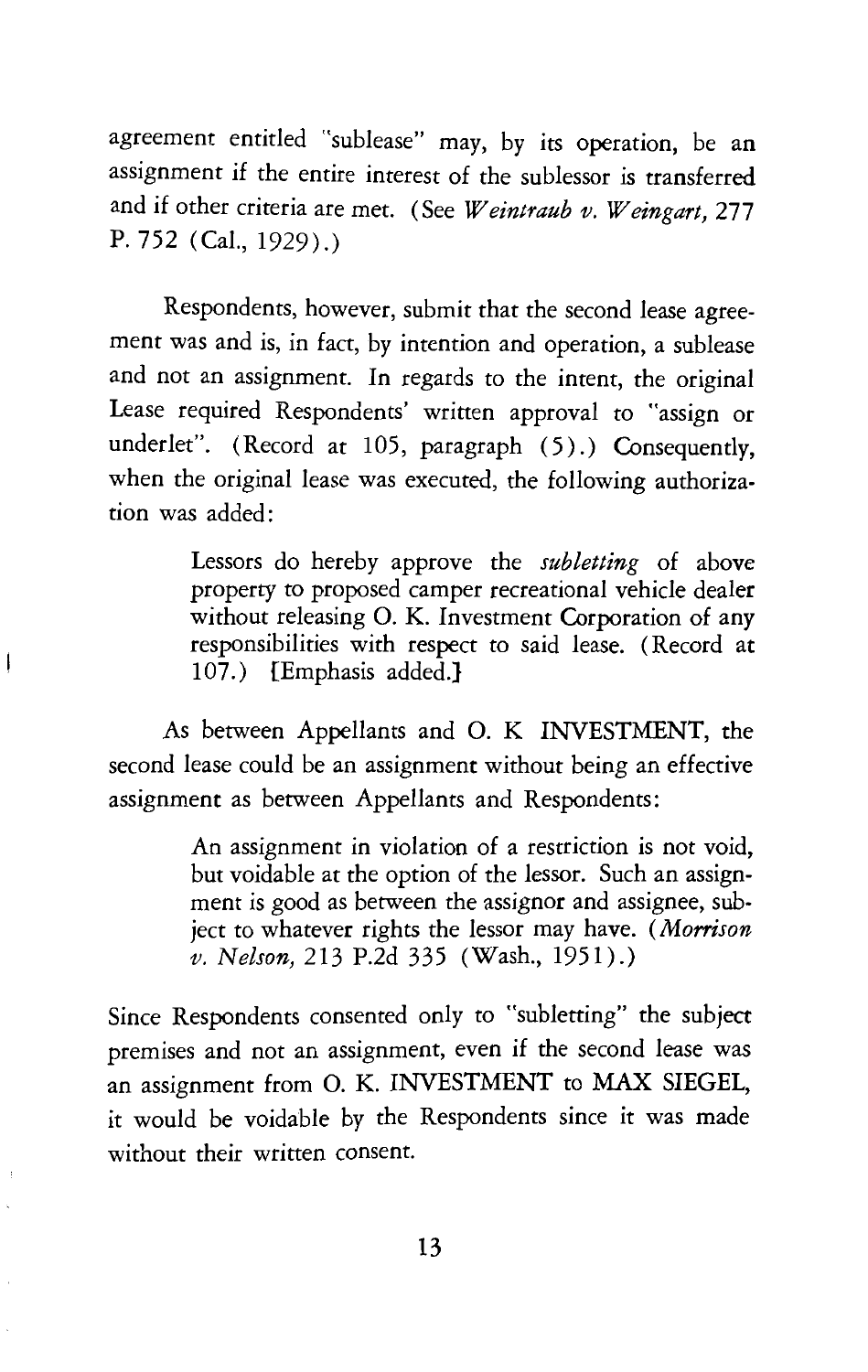agreement entitled "sublease" may, by its operation, be an assignment if the entire interest of the sublessor is transferred and if other criteria are met. (See *Weintraub v. Weingart,* 277 P. 752 (Cal., 1929).)

Respondents, however, submit that the second lease agreement was and is, in fact, by intention and operation, a sublease and not an assignment. In regards to the intent, the original Lease required Respondents' written approval to "assign or underlet". (Record at 105, paragraph (5).) Consequently, when the original lease was executed, the following authorization was added:

> Lessors do hereby approve the *subletting* of above property to proposed camper recreational vehicle dealer without releasing O. K. Investment Corporation of any responsibilities with respect to said lease. (Record at 107.) {Emphasis added.}

As between Appellants and 0. K INVESTMENT, the second lease could be an assignment without being an effective assignment as between Appellants and Respondents:

Í

An assignment in violation of a restriction is not void, but voidable at the option of the lessor. Such an assignment is good as between the assignor and assignee, subject to whatever rights the lessor may have. (Morrison *v. Nelson,* 213 P.2d 335 (Wash., 1951).)

Since Respondents consented only to "subletting" the subject premises and not an assignment, even if the second lease was an assignment from 0. K. INVESTMENT to MAX SIEGEL, it would be voidable by the Respondents since it was made without their written consent.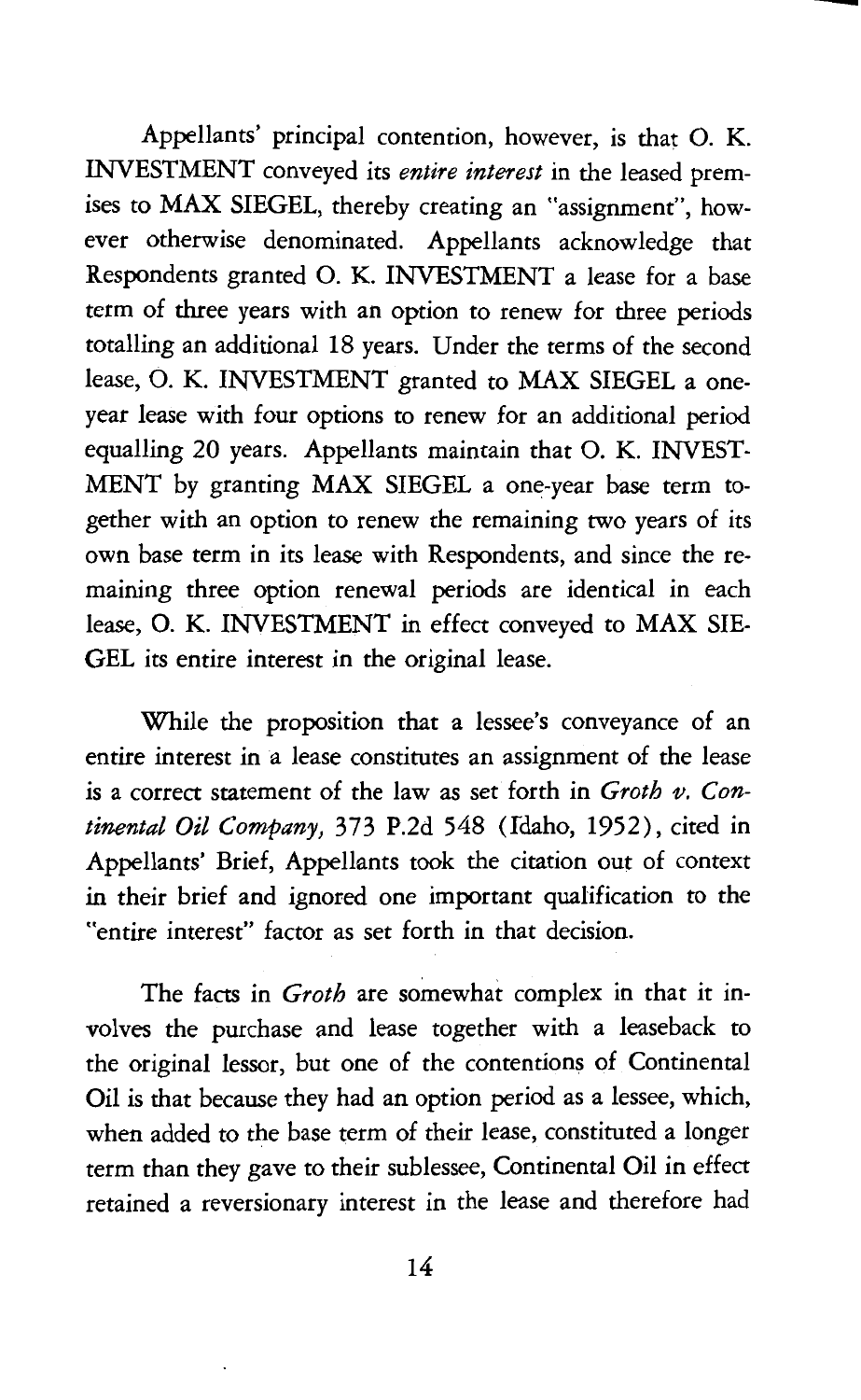Appellants' principal contention, however, is that 0. K. INVESTMENT conveyed its *entire interest* in the leased premises to MAX SIEGEL, thereby creating an "assignment'', however otherwise denominated. Appellants acknowledge that Respondents granted 0. K. INVESTMENT a lease for a base term of three years with an option to renew for three periods totalling an additional 18 years. Under the terms of the second lease, 0. K. INVESTMENT granted to MAX SIEGEL a oneyear lease with four options to renew for an additional period equalling 20 years. Appellants maintain that 0. K. INVEST-MENT by granting MAX SIEGEL a one-year base term together with an option to renew the remaining two years of its own base term in its lease with Respondents, and since the remaining three option renewal periods are identical in each lease, 0. K. INVESTMENT in effect conveyed to MAX SIE-**GEL** its entire interest in the original lease.

--

While the proposition that a lessee's conveyance of an entire interest in a lease constitutes an assignment of the lease is a correct statement of the law as set forth in *Groth v. Continental Oil Company,* 373 P.2d 548 (fdaho, 1952), cited in Appellants' Brief, Appellants took the citation out of context in their brief and ignored one important qualification to the "entire interest" factor as set forth in that decision.

The facts in *Groth* are somewhat complex in that it involves the purchase and lease together with a leaseback to the original lessor, but one of the contentions of Continental Oil is that because they had an option period as a lessee, which, when added to the base term of their lease, constituted a longer term than they gave to their sublessee, Continental Oil in effect retained a reversionary interest in the lease and therefore had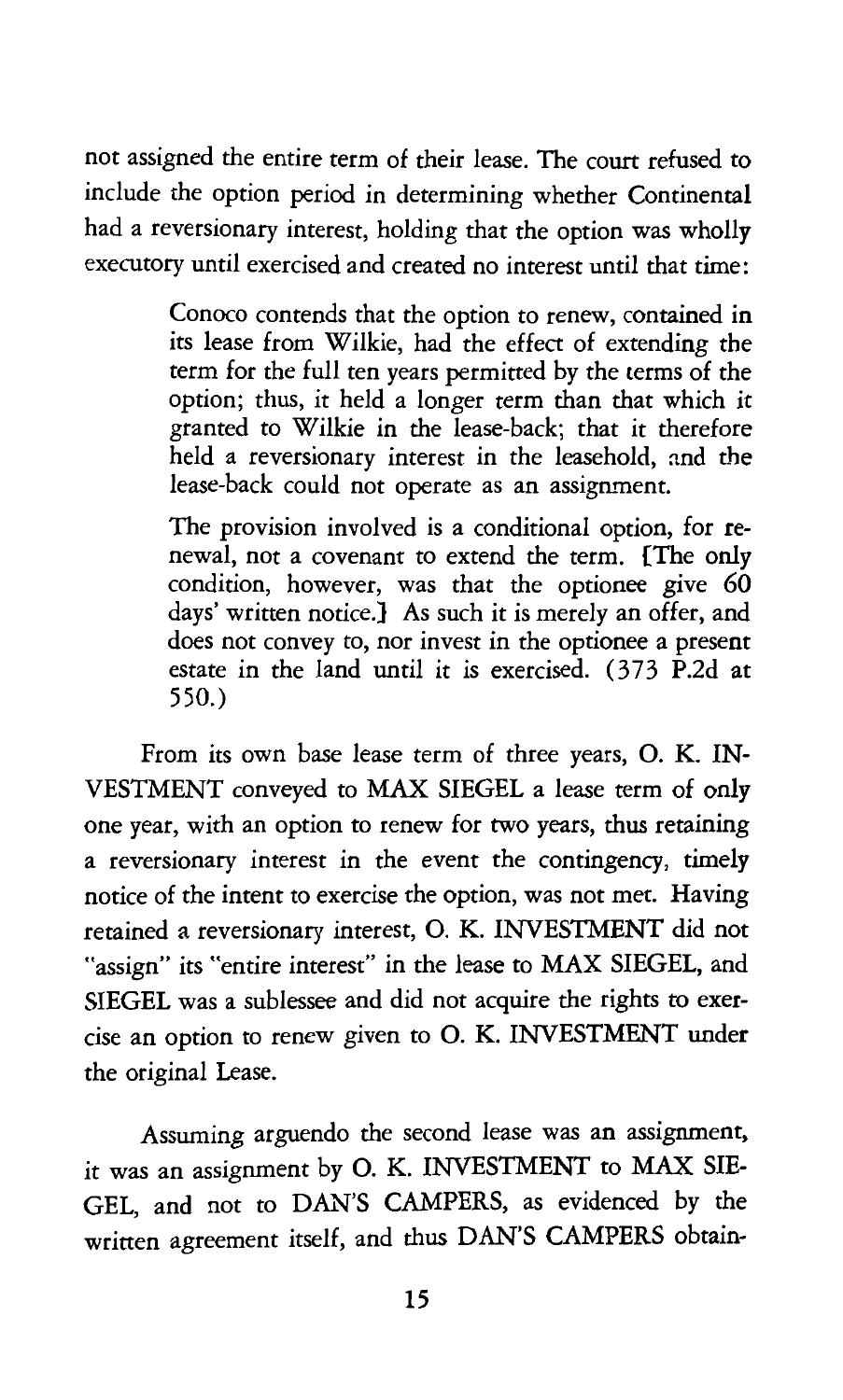not assigned the entire term of their lease. The court refused to include the option period in determining whether Continental had a reversionary interest, holding that the option was wholly executory until exercised and created no interest until that time:

> Conoco contends that the option to renew, contained in its lease from Wilkie, had the effect of extending the term for the full ten years permitted by the terms of the option; thus, it held a longer term than that which it granted to Wilkie in the lease-back; that it therefore held a reversionary interest in the leasehold, and the lease-back could not operate as an assignment.

> The provision involved is a conditional option, for renewal, not a covenant to extend the term. {The only condition, however, was that the optionee give 60 days' written notice.} As such it is merely an offer, and does not convey to, nor invest in the optionee a present estate in the land until it is exercised. (373 P.2d at 550.)

From its own base lease term of three years, 0. K. IN-VESTMENT conveyed to MAX SIEGEL a lease term of only one year, with an option to renew for two years, thus retaining a reversionary interest in the event the contingency, timely notice of the intent to exercise the option, was not met. Having retained a reversionary interest, 0. K. INVESTMENT did not "assign" its "entire interest" in the lease to MAX SIEGEL, and SIEGEL was a sublessee and did not acquire the rights to exercise an option to renew given to 0. K. INVESTMENT under the original Lease.

Assuming arguendo the second lease was an assignment, it was an assignment by 0. K. INVESTMENT to MAX SIE-GEL, and not to DAN'S CAMPERS, as evidenced by the written agreement itself, and thus DAN'S CAMPERS obtain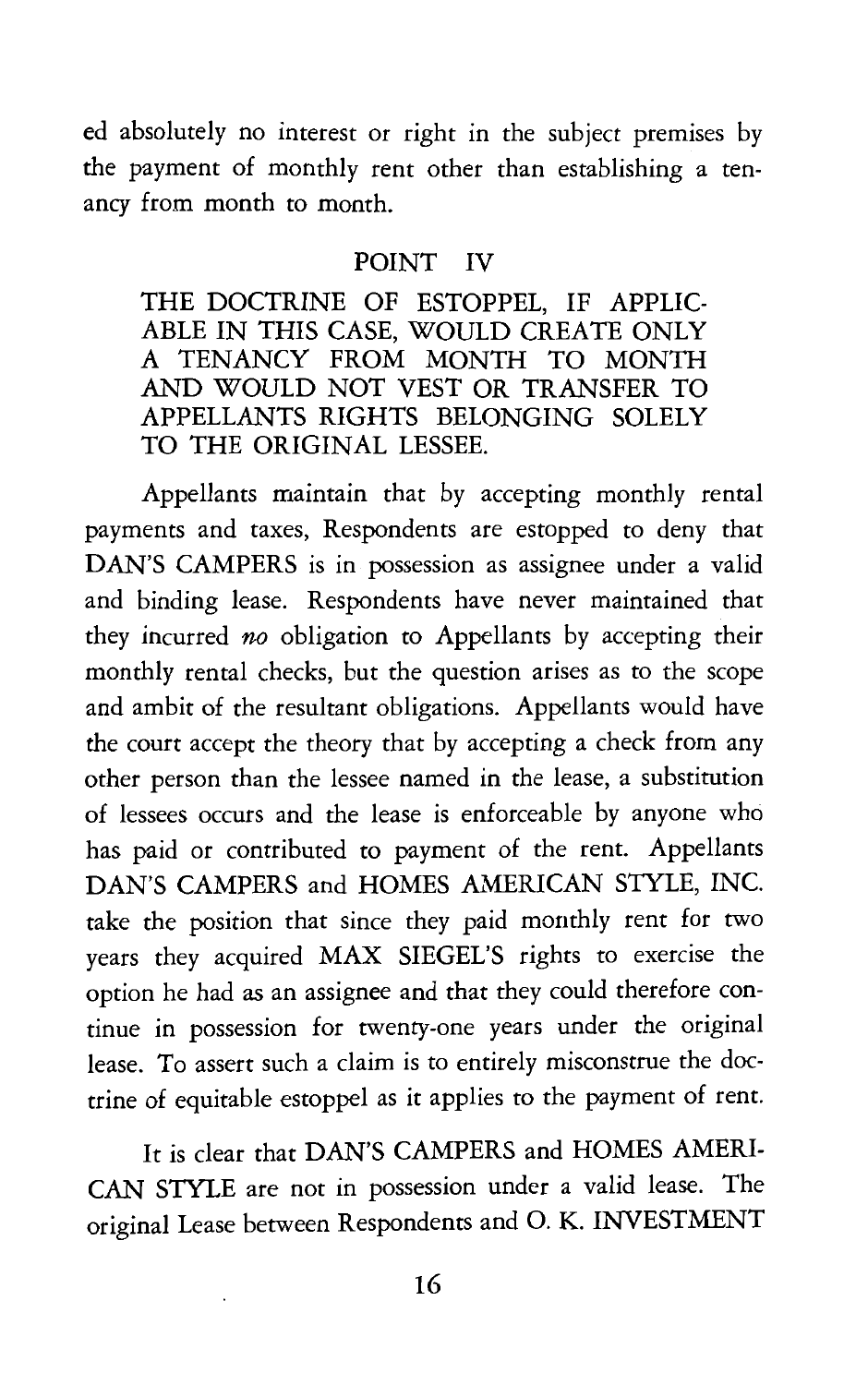ed absolutely no interest or right in the subject premises by the payment of monthly rent other than establishing a tenancy from month to month.

#### POINT IV

THE DOCTRINE OF ESTOPPEL, IF APPLIC-ABLE IN THIS CASE, WOULD CREATE ONLY A TENANCY FROM MONTH TO MONTH AND WOULD NOT VEST OR TRANSFER TO APPELLANTS RIGHTS BELONGING SOLELY TO THE ORIGINAL LESSEE.

Appellants maintain that by accepting monthly rental payments and taxes, Respondents are estopped to deny that DAN'S CAMPERS is in possession as assignee under a valid and binding lease. Respondents have never maintained that they incurred *no* obligation to Appellants by accepting their monthly rental checks, but the question arises as to the scope and ambit of the resultant obligations. Appellants would have the court accept the theory that by accepting a check from any other person than the lessee named in the lease, a substitution of lessees occurs and the lease is enforceable by anyone who has paid or contributed to payment of the rent. Appellants DAN'S CAMPERS and HOMES AMERICAN STYLE, INC. take the position that since they paid monthly rent for two years they acquired MAX SIEGEL'S rights to exercise the option he had as an assignee and that they could therefore continue in possession for twenty-one years under the original lease. To assert such a claim is to entirely misconstrue the doctrine of equitable estoppel as it applies to the payment of rent.

It is clear that DAN'S CAMPERS and HOMES AMERI-CAN STYLE are not in possession under a valid lease. The original Lease between Respondents and 0. K. INVESTMENT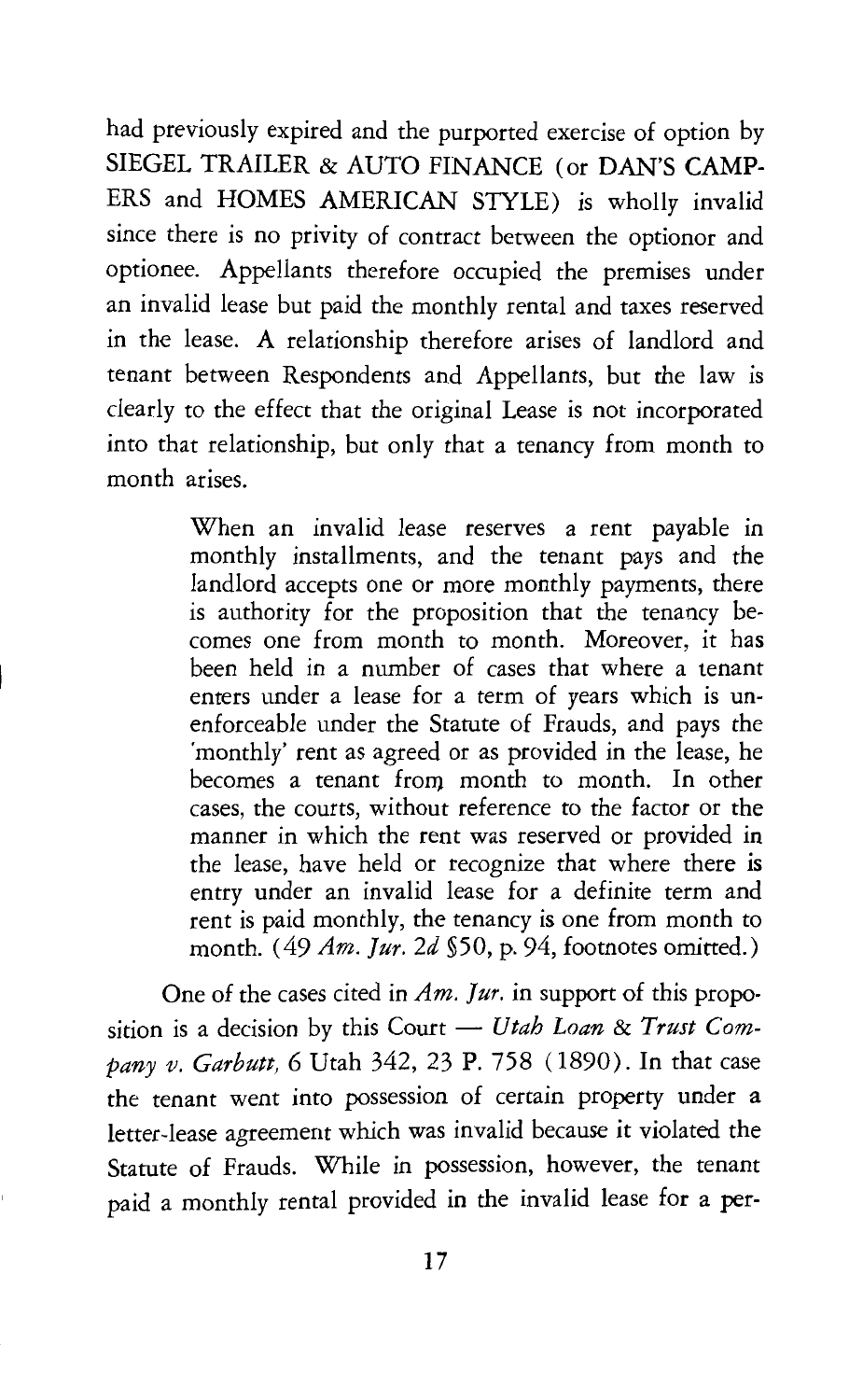had previously expired and the purported exercise of option by SIEGEL TRAILER & AUTO FINANCE (or DAN'S CAMP-ERS and HOMES AMERICAN STYLE) is wholly invalid since there is no privity of contract between the optionor and optionee. Appellants therefore occupied the premises under an invalid lease but paid the monthly rental and taxes reserved in the lease. A relationship therefore arises of landlord and tenant between Respondents and Appellants, but the law is clearly to the effect that the original Lease is not incorporated into that relationship, but only that a tenancy from month to month arises.

> When an invalid lease reserves a rent payable in monthly installments, and the tenant pays and the landlord accepts one or more monthly payments, there is authority for the proposition that the tenancy becomes one from month to month. Moreover, it has been held in a number of cases that where a tenant enters under a lease for a term of years which is unenforceable under the Statute of Frauds, and pays the 'monthly' rent as agreed or as provided in the lease, he becomes a tenant from month to month. In other cases, the courts, without reference to the factor or the manner in which the rent was reserved or provided in the lease, have held or recognize that where there is entry under an invalid lease for a definite term and rent is paid monthly, the tenancy is one from month to month. ( 49 *Am. fur. 2d* §50, p. 94, footnotes omitted.)

One of the cases cited in *Am. fur.* in support of this proposition is a decision by this Court - Utah Loan & Trust Com*pany v. Garbutt,* 6 Utah 342, 23 P. 758 ( 1890). In that case the tenant went into possession of certain property under a letter-lease agreement which was invalid because it violated the Statute of Frauds. While in possession, however, the tenant paid a monthly rental provided in the invalid lease for a per-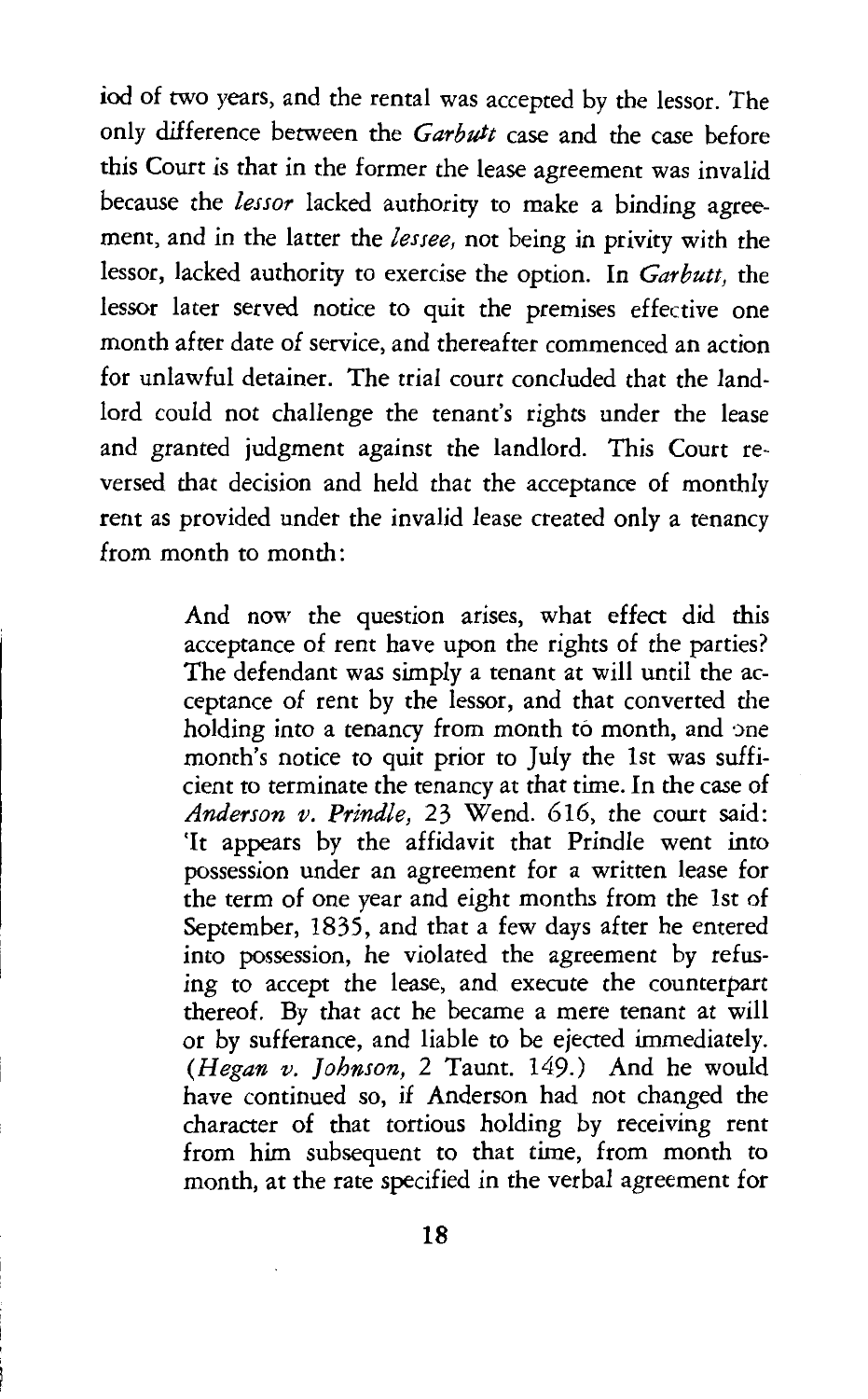iod of two years, and the rental was accepted by the lessor. The only difference between the *Garbutt* case and the case before this Court is that in the former the lease agreement was invalid because the *lessor* lacked authority to make a binding agreement, and in the latter the *lessee,* not being in privity with the lessor, lacked authority to exercise the option. In *Garbutt,* the lessor later served notice to quit the premises effective one month after date of service, and thereafter commenced an action for unlawful detainer. The trial court concluded that the landlord could not challenge the tenant's rights under the lease and granted judgment against the landlord. This Court reversed that decision and held that the acceptance of monthly rent as provided under the invalid lease created only a tenancy from month to month:

> And now the question arises, what effect did this acceptance of rent have upon the rights of the parties? The defendant was simply a tenant at will until the acceptance of rent by the lessor, and that converted the holding into a tenancy from month to month, and one month's notice to quit prior to July the 1st was sufficient to terminate the tenancy at that time. In the case of *Anderson v. Prindle,* 23 Wend. 616, the court said: 'It appears by the affidavit that Prindle went into possession under an agreement for a written lease for the term of one year and eight months from the 1st of September, 1835, and that a few days after he entered into possession, he violated the agreement by refusing to accept the lease, and execute the counterpart thereof. By that act he became a mere tenant at will or by sufferance, and liable to be ejected immediately. *(Hegan v. Johnson,* 2 Taunt. 149.) And he would have continued so, if Anderson had not changed the character of that tortious holding by receiving rent from him subsequent to that time, from month to month, at the rate specified in the verbal agreement for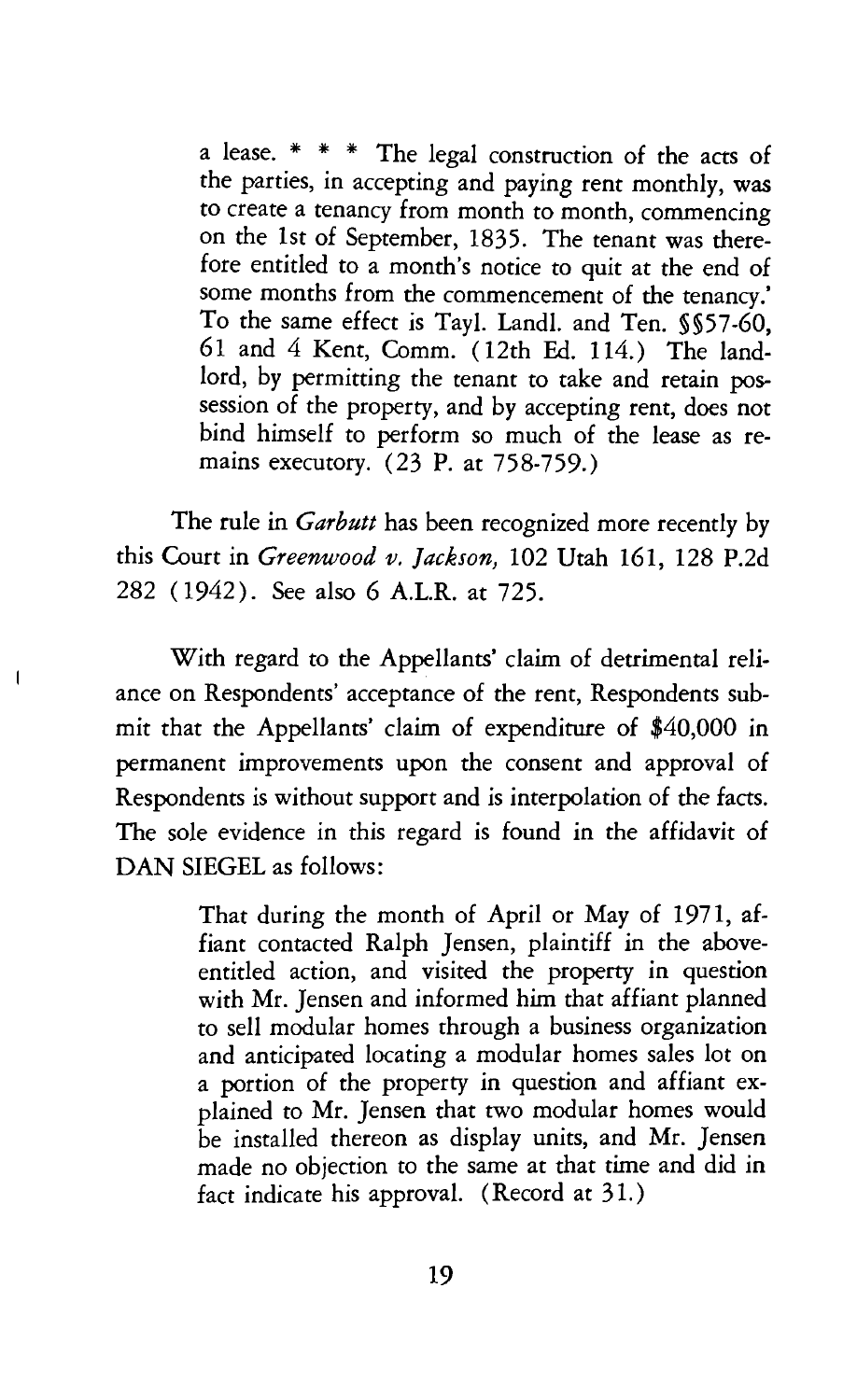a lease. \* \* \* The legal construction of the acts of the parties, in accepting and paying rent monthly, was to create a tenancy from month to month, commencing on the 1st of September, 1835. The tenant was therefore entitled to a month's notice to quit at the end of some months from the commencement of the tenancy.' To the same effect is Tayl. Landl. and Ten. §§57-60, 61 and 4 Kent, Comm. ( 12th Ed. 114.) The landlord, by permitting the tenant to take and retain possession of the property, and by accepting rent, does not bind himself to perform so much of the lease as remains executory. (23 P. at 758-759.)

The rule in *Garbutt* has been recognized more recently by this Court in *Greenwood v. Jackson,* 102 Utah 161, 128 P.2d 282 (1942). See also 6 A.LR. at 725.

With regard to the Appellants' claim of detrimental reliance on Respondents' acceptance of the rent, Respondents submit that the Appellants' claim of expenditure of \$40,000 in permanent improvements upon the consent and approval of Respondents is without support and is interpolation of the facts. The sole evidence in this regard is found in the affidavit of DAN SIEGEL as follows:

 $\mathbf{I}$ 

That during the month of April or May of 1971, affiant contacted Ralph Jensen, plaintiff in the aboveentitled action, and visited the property in question with Mr. Jensen and informed him that affiant planned to sell modular homes through a business organization and anticipated locating a modular homes sales lot on a portion of the property in question and affiant explained to Mr. Jensen that two modular homes would be installed thereon as display units, and Mr. Jensen made no objection to the same at that time and did in fact indicate his approval. (Record at 31.)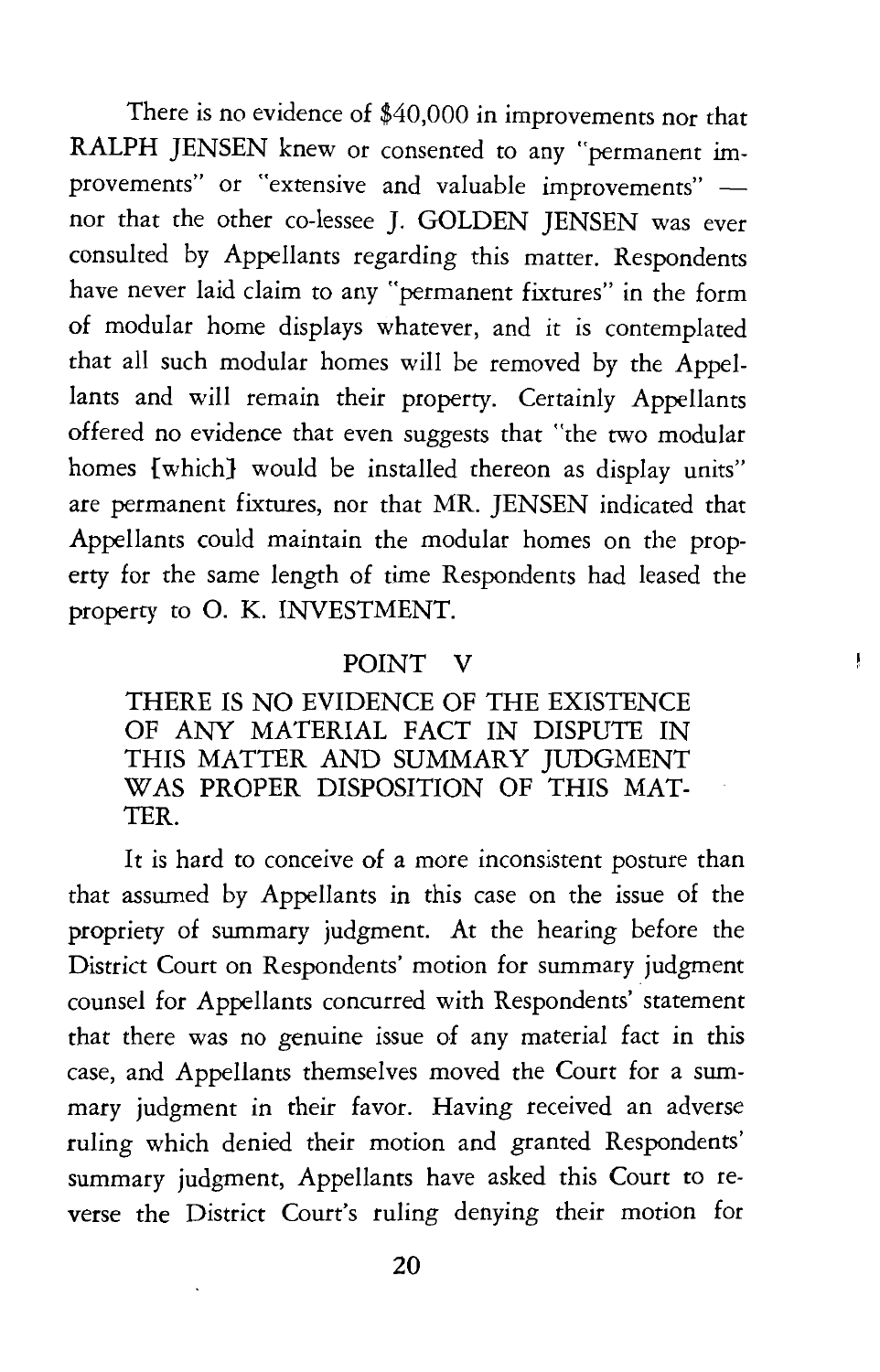There is no evidence of \$40,000 in improvements nor that RALPH JENSEN knew or consented to any "permanent improvements" or "extensive and valuable improvements" nor that the other co-lessee J. GOLDEN JENSEN was ever consulted by Appellants regarding this matter. Respondents have never laid claim to any "permanent fixtures" in the form of modular home displays whatever, and it is contemplated that all such modular homes will be removed by the Appellants and will remain their property. Certainly Appellants offered no evidence that even suggests that "the two modular homes {which} would be installed thereon as display units" are permanent fixtures, nor that MR. JENSEN indicated that Appellants could maintain the modular homes on the property for the same length of time Respondents had leased the property to 0. K. INVESTMENT.

#### POINT V

ţ

THERE IS NO EVIDENCE OF THE EXISTENCE OF ANY MATERIAL FACT IN DISPUTE IN THIS MATTER AND SUMMARY JUDGMENT WAS PROPER DISPOSITION OF THIS MAT-**TER** 

It is hard to conceive of a more inconsistent posture than that assumed by Appellants in this case on the issue of the propriety of summary judgment. At the hearing before the District Court on Respondents' motion for summary judgment counsel for Appellants concurred with Respondents' statement that there was no genuine issue of any material fact in this case, and Appellants themselves moved the Court for a summary judgment in their favor. Having received an adverse ruling which denied their motion and granted Respondents' summary judgment, Appellants have asked this Court to reverse the District Court's ruling denying their motion for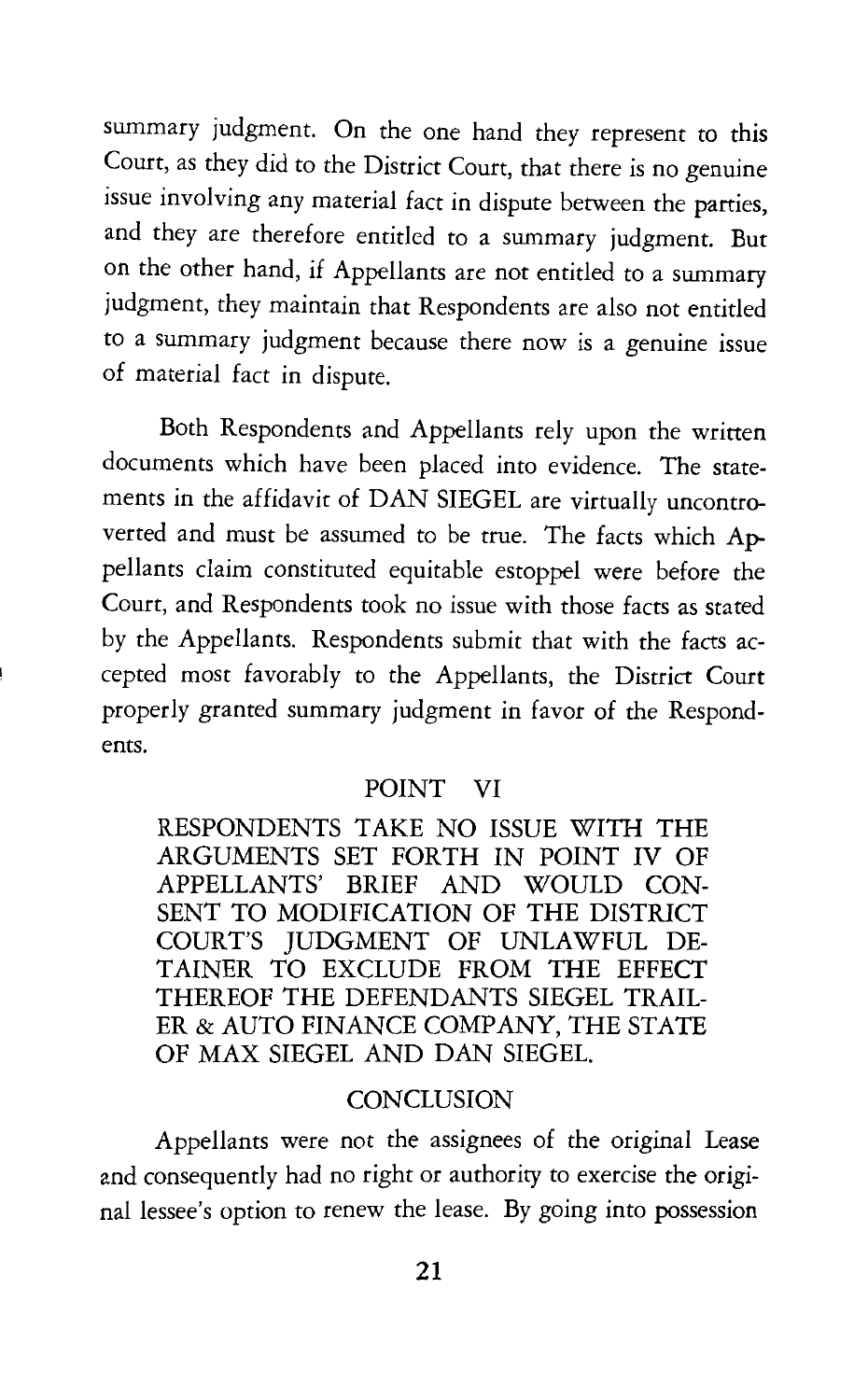summary judgment. On the one hand they represent to this Court, as they did to the District Court, that there is no genuine issue involving any material fact in dispute between the parties, and they are therefore entitled to a summary judgment. But on the other hand, if Appellants are not entitled to a summary judgment, they maintain that Respondents are also not entitled to a summary judgment because there now is a genuine issue of material fact in dispute.

Both Respondents and Appellants rely upon the written documents which have been placed into evidence. The statements in the affidavit of DAN SIEGEL are virtually uncontroverted and must be assumed to be true. The facts which Appellants claim constituted equitable estoppel were before the Court, and Respondents took no issue with those facts as stated by the Appellants. Respondents submit that with the facts accepted most favorably to the Appellants, the District Court properly granted summary judgment in favor of the Respondents.

#### POINT VI

RESPONDENTS TAKE NO ISSUE WITH THE ARGUMENTS SET FORTH IN POINT IV OF APPELLANTS' BRIEF AND WOULD CON-SENT *TO* MODIFICATION OF THE DISTRICT COURT'S JUDGMENT OF UNLAWFUL DE-TAINER *TO* EXCLUDE FROM THE EFFECT THEREOF THE DEFENDANTS SIEGEL TRAIL-ER & AUTO FINANCE COMPANY, THE STATE OF MAX SIEGEL AND DAN SIEGEL.

#### **CONCLUSION**

Appellants were not the assignees of the original Lease and consequently had no right or authority to exercise the original lessee's option to renew the lease. By going into possession